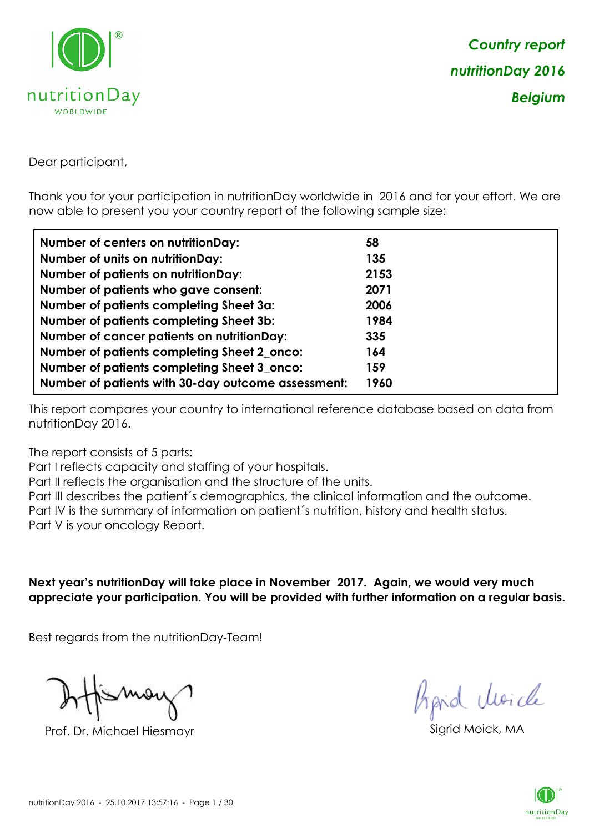

Dear participant,

Thank you for your participation in nutritionDay worldwide in 2016 and for your effort. We are now able to present you your country report of the following sample size:

| <b>Number of centers on nutritionDay:</b>          | 58   |
|----------------------------------------------------|------|
| Number of units on nutritionDay:                   | 135  |
| <b>Number of patients on nutritionDay:</b>         | 2153 |
| Number of patients who gave consent:               | 2071 |
| Number of patients completing Sheet 3a:            | 2006 |
| <b>Number of patients completing Sheet 3b:</b>     | 1984 |
| <b>Number of cancer patients on nutritionDay:</b>  | 335  |
| Number of patients completing Sheet 2_onco:        | 164  |
| Number of patients completing Sheet 3_onco:        | 159  |
| Number of patients with 30-day outcome assessment: | 1960 |

This report compares your country to international reference database based on data from nutritionDay 2016.

The report consists of 5 parts:

Part I reflects capacity and staffing of your hospitals.

Part II reflects the organisation and the structure of the units.

Part III describes the patient´s demographics, the clinical information and the outcome.

Part IV is the summary of information on patient´s nutrition, history and health status.

Part V is your oncology Report.

**Next year's nutritionDay will take place in November 2017. Again, we would very much appreciate your participation. You will be provided with further information on a regular basis.**

Best regards from the nutritionDay-Team!

Prof. Dr. Michael Hiesmayr Sigrid Moick, M

hpid Moick

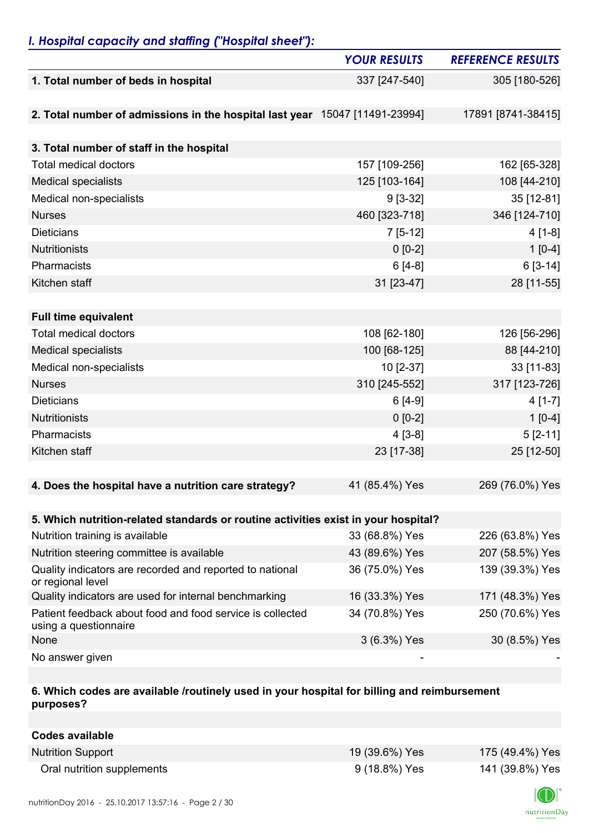## *I. Hospital capacity and staffing ("Hospital sheet"):*

|                                                                                    | <b>YOUR RESULTS</b> | <b>REFERENCE RESULTS</b> |
|------------------------------------------------------------------------------------|---------------------|--------------------------|
| 1. Total number of beds in hospital                                                | 337 [247-540]       | 305 [180-526]            |
|                                                                                    |                     |                          |
| 2. Total number of admissions in the hospital last year 15047 [11491-23994]        |                     | 17891 [8741-38415]       |
| 3. Total number of staff in the hospital                                           |                     |                          |
| <b>Total medical doctors</b>                                                       | 157 [109-256]       | 162 [65-328]             |
| <b>Medical specialists</b>                                                         | 125 [103-164]       | 108 [44-210]             |
| Medical non-specialists                                                            | $9[3-32]$           | 35 [12-81]               |
| <b>Nurses</b>                                                                      | 460 [323-718]       | 346 [124-710]            |
| <b>Dieticians</b>                                                                  | $7[5-12]$           | $4[1-8]$                 |
| Nutritionists                                                                      | $0 [0-2]$           | $1[0-4]$                 |
| Pharmacists                                                                        | $6[4-8]$            | $6[3-14]$                |
| Kitchen staff                                                                      | 31 [23-47]          | 28 [11-55]               |
|                                                                                    |                     |                          |
| <b>Full time equivalent</b>                                                        |                     |                          |
| <b>Total medical doctors</b>                                                       | 108 [62-180]        | 126 [56-296]             |
| <b>Medical specialists</b>                                                         | 100 [68-125]        | 88 [44-210]              |
| Medical non-specialists                                                            | 10 [2-37]           | 33 [11-83]               |
| <b>Nurses</b>                                                                      | 310 [245-552]       | 317 [123-726]            |
| <b>Dieticians</b>                                                                  | $6[4-9]$            | $4[1-7]$                 |
| Nutritionists                                                                      | $0 [0-2]$           | $1[0-4]$                 |
| Pharmacists                                                                        | $4[3-8]$            | $5[2-11]$                |
| Kitchen staff                                                                      | 23 [17-38]          | 25 [12-50]               |
|                                                                                    |                     |                          |
| 4. Does the hospital have a nutrition care strategy?                               | 41 (85.4%) Yes      | 269 (76.0%) Yes          |
|                                                                                    |                     |                          |
| 5. Which nutrition-related standards or routine activities exist in your hospital? |                     |                          |
| Nutrition training is available                                                    | 33 (68.8%) Yes      | 226 (63.8%) Yes          |
| Nutrition steering committee is available                                          | 43 (89.6%) Yes      | 207 (58.5%) Yes          |
| Quality indicators are recorded and reported to national<br>or regional level      | 36 (75.0%) Yes      | 139 (39.3%) Yes          |
| Quality indicators are used for internal benchmarking                              | 16 (33.3%) Yes      | 171 (48.3%) Yes          |
| Patient feedback about food and food service is collected<br>using a questionnaire | 34 (70.8%) Yes      | 250 (70.6%) Yes          |
| None                                                                               | 3 (6.3%) Yes        | 30 (8.5%) Yes            |
| No answer given                                                                    |                     |                          |

#### **6. Which codes are available /routinely used in your hospital for billing and reimbursement purposes?**

| Codes available            |                |                 |
|----------------------------|----------------|-----------------|
| <b>Nutrition Support</b>   | 19 (39.6%) Yes | 175 (49.4%) Yes |
| Oral nutrition supplements | 9 (18.8%) Yes  | 141 (39.8%) Yes |

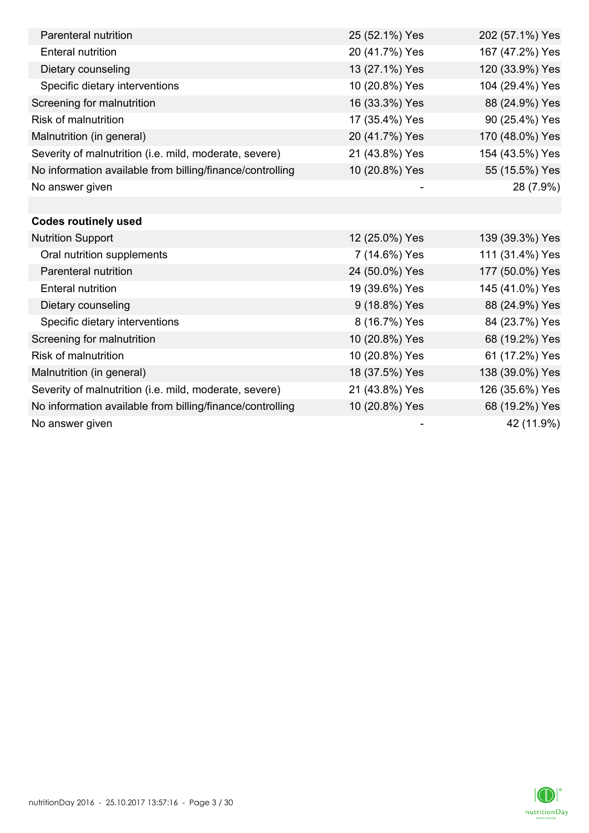| Parenteral nutrition                                      | 25 (52.1%) Yes | 202 (57.1%) Yes |
|-----------------------------------------------------------|----------------|-----------------|
| <b>Enteral nutrition</b>                                  | 20 (41.7%) Yes | 167 (47.2%) Yes |
| Dietary counseling                                        | 13 (27.1%) Yes | 120 (33.9%) Yes |
| Specific dietary interventions                            | 10 (20.8%) Yes | 104 (29.4%) Yes |
| Screening for malnutrition                                | 16 (33.3%) Yes | 88 (24.9%) Yes  |
| <b>Risk of malnutrition</b>                               | 17 (35.4%) Yes | 90 (25.4%) Yes  |
| Malnutrition (in general)                                 | 20 (41.7%) Yes | 170 (48.0%) Yes |
| Severity of malnutrition (i.e. mild, moderate, severe)    | 21 (43.8%) Yes | 154 (43.5%) Yes |
| No information available from billing/finance/controlling | 10 (20.8%) Yes | 55 (15.5%) Yes  |
| No answer given                                           |                | 28 (7.9%)       |
|                                                           |                |                 |
| <b>Codes routinely used</b>                               |                |                 |
| <b>Nutrition Support</b>                                  | 12 (25.0%) Yes | 139 (39.3%) Yes |
| Oral nutrition supplements                                | 7 (14.6%) Yes  | 111 (31.4%) Yes |
| Parenteral nutrition                                      | 24 (50.0%) Yes | 177 (50.0%) Yes |
| <b>Enteral nutrition</b>                                  | 19 (39.6%) Yes | 145 (41.0%) Yes |
| Dietary counseling                                        | 9 (18.8%) Yes  | 88 (24.9%) Yes  |
| Specific dietary interventions                            | 8 (16.7%) Yes  | 84 (23.7%) Yes  |
| Screening for malnutrition                                | 10 (20.8%) Yes | 68 (19.2%) Yes  |
| <b>Risk of malnutrition</b>                               | 10 (20.8%) Yes | 61 (17.2%) Yes  |
| Malnutrition (in general)                                 | 18 (37.5%) Yes | 138 (39.0%) Yes |
| Severity of malnutrition (i.e. mild, moderate, severe)    | 21 (43.8%) Yes | 126 (35.6%) Yes |
| No information available from billing/finance/controlling | 10 (20.8%) Yes | 68 (19.2%) Yes  |
| No answer given                                           |                | 42 (11.9%)      |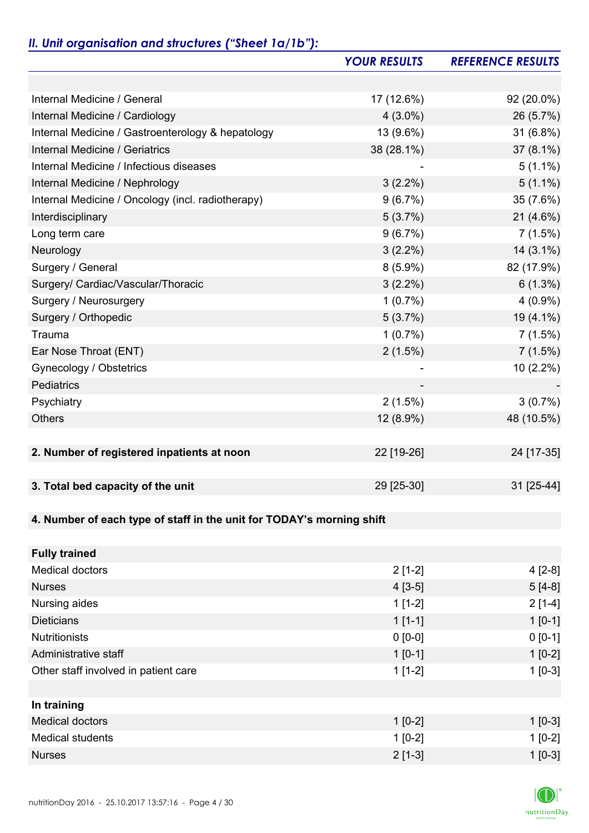# *II. Unit organisation and structures ("Sheet 1a/1b"):*

|                                                                       | <b>YOUR RESULTS</b> | <b>REFERENCE RESULTS</b> |
|-----------------------------------------------------------------------|---------------------|--------------------------|
|                                                                       |                     |                          |
| Internal Medicine / General                                           | 17 (12.6%)          | 92 (20.0%)               |
| Internal Medicine / Cardiology                                        | $4(3.0\%)$          | 26 (5.7%)                |
| Internal Medicine / Gastroenterology & hepatology                     | 13 (9.6%)           | 31 (6.8%)                |
| Internal Medicine / Geriatrics                                        | 38 (28.1%)          | 37 (8.1%)                |
| Internal Medicine / Infectious diseases                               |                     | $5(1.1\%)$               |
| Internal Medicine / Nephrology                                        | $3(2.2\%)$          | $5(1.1\%)$               |
| Internal Medicine / Oncology (incl. radiotherapy)                     | 9(6.7%)             | 35 (7.6%)                |
| Interdisciplinary                                                     | 5(3.7%)             | $21(4.6\%)$              |
| Long term care                                                        | 9(6.7%)             | 7(1.5%)                  |
| Neurology                                                             | $3(2.2\%)$          | $14(3.1\%)$              |
| Surgery / General                                                     | $8(5.9\%)$          | 82 (17.9%)               |
| Surgery/ Cardiac/Vascular/Thoracic                                    | $3(2.2\%)$          | $6(1.3\%)$               |
| Surgery / Neurosurgery                                                | $1(0.7\%)$          | $4(0.9\%)$               |
| Surgery / Orthopedic                                                  | 5(3.7%)             | 19 (4.1%)                |
| Trauma                                                                | $1(0.7\%)$          | 7(1.5%)                  |
| Ear Nose Throat (ENT)                                                 | 2(1.5%)             | 7(1.5%)                  |
| Gynecology / Obstetrics                                               |                     | 10 (2.2%)                |
| Pediatrics                                                            |                     |                          |
| Psychiatry                                                            | 2(1.5%)             | $3(0.7\%)$               |
| <b>Others</b>                                                         | 12 (8.9%)           | 48 (10.5%)               |
|                                                                       |                     |                          |
| 2. Number of registered inpatients at noon                            | 22 [19-26]          | 24 [17-35]               |
|                                                                       |                     |                          |
| 3. Total bed capacity of the unit                                     | 29 [25-30]          | 31 [25-44]               |
|                                                                       |                     |                          |
| 4. Number of each type of staff in the unit for TODAY's morning shift |                     |                          |
|                                                                       |                     |                          |
| <b>Fully trained</b>                                                  |                     |                          |
| <b>Medical doctors</b>                                                | $2[1-2]$            | $4[2-8]$                 |
| <b>Nurses</b>                                                         | $4[3-5]$            | $5[4-8]$                 |
| Nursing aides                                                         | $1[1-2]$            | $2[1-4]$                 |
| <b>Dieticians</b>                                                     | $1[1-1]$            | $1 [0-1]$                |
| <b>Nutritionists</b>                                                  | $0 [0-0]$           | $0 [0-1]$                |
| Administrative staff                                                  | $1[0-1]$            | $1[0-2]$                 |
| Other staff involved in patient care                                  | $1[1-2]$            | $1[0-3]$                 |
|                                                                       |                     |                          |
| In training                                                           |                     |                          |
| <b>Medical doctors</b>                                                | $1[0-2]$            | $1$ [0-3]                |
| <b>Medical students</b>                                               | $1[0-2]$            | $1[0-2]$                 |
| <b>Nurses</b>                                                         | $2[1-3]$            | $1 [0-3]$                |

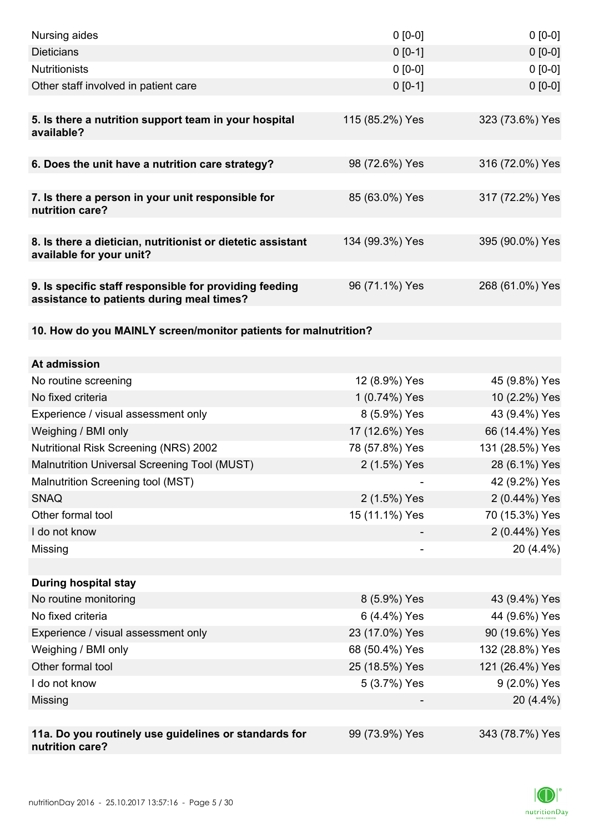| Nursing aides                                                                                       | $0 [0-0]$                        | $0[0-0]$                         |
|-----------------------------------------------------------------------------------------------------|----------------------------------|----------------------------------|
| <b>Dieticians</b>                                                                                   | $0 [0-1]$                        | $0 [0-0]$                        |
| <b>Nutritionists</b>                                                                                | $0 [0-0]$                        | $0 [0-0]$                        |
| Other staff involved in patient care                                                                | $0 [0-1]$                        | $0 [0-0]$                        |
| 5. Is there a nutrition support team in your hospital<br>available?                                 | 115 (85.2%) Yes                  | 323 (73.6%) Yes                  |
| 6. Does the unit have a nutrition care strategy?                                                    | 98 (72.6%) Yes                   | 316 (72.0%) Yes                  |
| 7. Is there a person in your unit responsible for<br>nutrition care?                                | 85 (63.0%) Yes                   | 317 (72.2%) Yes                  |
| 8. Is there a dietician, nutritionist or dietetic assistant<br>available for your unit?             | 134 (99.3%) Yes                  | 395 (90.0%) Yes                  |
| 9. Is specific staff responsible for providing feeding<br>assistance to patients during meal times? | 96 (71.1%) Yes                   | 268 (61.0%) Yes                  |
| 10. How do you MAINLY screen/monitor patients for malnutrition?                                     |                                  |                                  |
|                                                                                                     |                                  |                                  |
| At admission                                                                                        |                                  |                                  |
| No routine screening                                                                                | 12 (8.9%) Yes                    | 45 (9.8%) Yes                    |
| No fixed criteria                                                                                   | 1 (0.74%) Yes                    | 10 (2.2%) Yes                    |
| Experience / visual assessment only                                                                 | 8 (5.9%) Yes                     | 43 (9.4%) Yes                    |
| Weighing / BMI only                                                                                 | 17 (12.6%) Yes<br>78 (57.8%) Yes | 66 (14.4%) Yes                   |
| <b>Nutritional Risk Screening (NRS) 2002</b><br>Malnutrition Universal Screening Tool (MUST)        | 2 (1.5%) Yes                     | 131 (28.5%) Yes<br>28 (6.1%) Yes |
| Malnutrition Screening tool (MST)                                                                   |                                  |                                  |
| <b>SNAQ</b>                                                                                         | 2 (1.5%) Yes                     | 42 (9.2%) Yes<br>2 (0.44%) Yes   |
| Other formal tool                                                                                   | 15 (11.1%) Yes                   | 70 (15.3%) Yes                   |
| I do not know                                                                                       |                                  | 2 (0.44%) Yes                    |
| Missing                                                                                             |                                  | 20 (4.4%)                        |
|                                                                                                     |                                  |                                  |
| <b>During hospital stay</b>                                                                         |                                  |                                  |
| No routine monitoring                                                                               | 8 (5.9%) Yes                     | 43 (9.4%) Yes                    |
| No fixed criteria                                                                                   | 6 (4.4%) Yes                     | 44 (9.6%) Yes                    |
| Experience / visual assessment only                                                                 | 23 (17.0%) Yes                   | 90 (19.6%) Yes                   |
| Weighing / BMI only                                                                                 | 68 (50.4%) Yes                   | 132 (28.8%) Yes                  |
| Other formal tool                                                                                   | 25 (18.5%) Yes                   | 121 (26.4%) Yes                  |
| I do not know                                                                                       | 5 (3.7%) Yes                     | 9 (2.0%) Yes                     |
| Missing                                                                                             |                                  | 20 (4.4%)                        |
|                                                                                                     |                                  |                                  |
| 11a. Do you routinely use guidelines or standards for<br>nutrition care?                            | 99 (73.9%) Yes                   | 343 (78.7%) Yes                  |

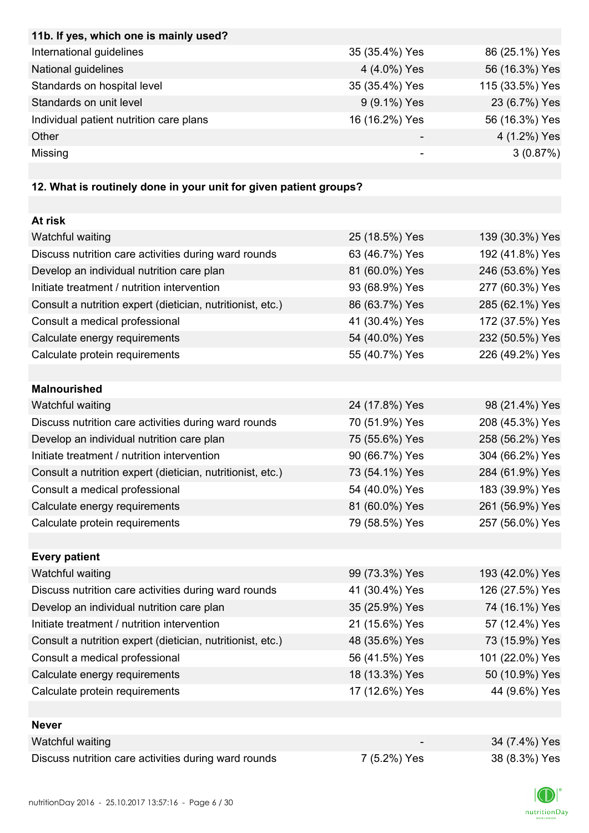| 11b. If yes, which one is mainly used?  |                |                 |
|-----------------------------------------|----------------|-----------------|
| International guidelines                | 35 (35.4%) Yes | 86 (25.1%) Yes  |
| National guidelines                     | 4 (4.0%) Yes   | 56 (16.3%) Yes  |
| Standards on hospital level             | 35 (35.4%) Yes | 115 (33.5%) Yes |
| Standards on unit level                 | 9 (9.1%) Yes   | 23 (6.7%) Yes   |
| Individual patient nutrition care plans | 16 (16.2%) Yes | 56 (16.3%) Yes  |
| Other                                   |                | 4 (1.2%) Yes    |
| Missing                                 |                | 3(0.87%)        |

# **12. What is routinely done in your unit for given patient groups?**

| At risk                                                    |                |                 |
|------------------------------------------------------------|----------------|-----------------|
| Watchful waiting                                           | 25 (18.5%) Yes | 139 (30.3%) Yes |
| Discuss nutrition care activities during ward rounds       | 63 (46.7%) Yes | 192 (41.8%) Yes |
| Develop an individual nutrition care plan                  | 81 (60.0%) Yes | 246 (53.6%) Yes |
| Initiate treatment / nutrition intervention                | 93 (68.9%) Yes | 277 (60.3%) Yes |
| Consult a nutrition expert (dietician, nutritionist, etc.) | 86 (63.7%) Yes | 285 (62.1%) Yes |
| Consult a medical professional                             | 41 (30.4%) Yes | 172 (37.5%) Yes |
| Calculate energy requirements                              | 54 (40.0%) Yes | 232 (50.5%) Yes |
| Calculate protein requirements                             | 55 (40.7%) Yes | 226 (49.2%) Yes |
|                                                            |                |                 |
| <b>Malnourished</b>                                        |                |                 |
| Watchful waiting                                           | 24 (17.8%) Yes | 98 (21.4%) Yes  |
| Discuss nutrition care activities during ward rounds       | 70 (51.9%) Yes | 208 (45.3%) Yes |
| Develop an individual nutrition care plan                  | 75 (55.6%) Yes | 258 (56.2%) Yes |
| Initiate treatment / nutrition intervention                | 90 (66.7%) Yes | 304 (66.2%) Yes |
| Consult a nutrition expert (dietician, nutritionist, etc.) | 73 (54.1%) Yes | 284 (61.9%) Yes |
| Consult a medical professional                             | 54 (40.0%) Yes | 183 (39.9%) Yes |
| Calculate energy requirements                              | 81 (60.0%) Yes | 261 (56.9%) Yes |
| Calculate protein requirements                             | 79 (58.5%) Yes | 257 (56.0%) Yes |
|                                                            |                |                 |
| <b>Every patient</b>                                       |                |                 |
| Watchful waiting                                           | 99 (73.3%) Yes | 193 (42.0%) Yes |
| Discuss nutrition care activities during ward rounds       | 41 (30.4%) Yes | 126 (27.5%) Yes |
| Develop an individual nutrition care plan                  | 35 (25.9%) Yes | 74 (16.1%) Yes  |
| Initiate treatment / nutrition intervention                | 21 (15.6%) Yes | 57 (12.4%) Yes  |
| Consult a nutrition expert (dietician, nutritionist, etc.) | 48 (35.6%) Yes | 73 (15.9%) Yes  |
| Consult a medical professional                             | 56 (41.5%) Yes | 101 (22.0%) Yes |
| Calculate energy requirements                              | 18 (13.3%) Yes | 50 (10.9%) Yes  |
| Calculate protein requirements                             | 17 (12.6%) Yes | 44 (9.6%) Yes   |
|                                                            |                |                 |
| <b>Never</b>                                               |                |                 |
| Watchful waiting                                           |                | 34 (7.4%) Yes   |
| Discuss nutrition care activities during ward rounds       | 7 (5.2%) Yes   | 38 (8.3%) Yes   |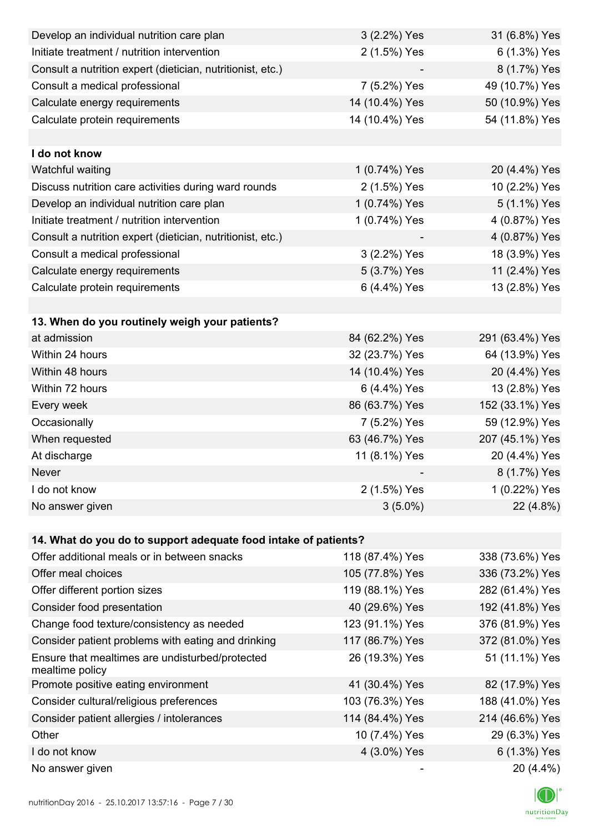| Develop an individual nutrition care plan                          | 3 (2.2%) Yes    | 31 (6.8%) Yes   |
|--------------------------------------------------------------------|-----------------|-----------------|
| Initiate treatment / nutrition intervention                        | 2 (1.5%) Yes    | 6 (1.3%) Yes    |
| Consult a nutrition expert (dietician, nutritionist, etc.)         |                 | 8 (1.7%) Yes    |
| Consult a medical professional                                     | 7 (5.2%) Yes    | 49 (10.7%) Yes  |
| Calculate energy requirements                                      | 14 (10.4%) Yes  | 50 (10.9%) Yes  |
| Calculate protein requirements                                     | 14 (10.4%) Yes  | 54 (11.8%) Yes  |
|                                                                    |                 |                 |
| I do not know                                                      |                 |                 |
| Watchful waiting                                                   | 1 (0.74%) Yes   | 20 (4.4%) Yes   |
| Discuss nutrition care activities during ward rounds               | 2 (1.5%) Yes    | 10 (2.2%) Yes   |
| Develop an individual nutrition care plan                          | 1 (0.74%) Yes   | 5 (1.1%) Yes    |
| Initiate treatment / nutrition intervention                        | 1 (0.74%) Yes   | 4 (0.87%) Yes   |
| Consult a nutrition expert (dietician, nutritionist, etc.)         |                 | 4 (0.87%) Yes   |
| Consult a medical professional                                     | 3 (2.2%) Yes    | 18 (3.9%) Yes   |
| Calculate energy requirements                                      | 5 (3.7%) Yes    | 11 (2.4%) Yes   |
| Calculate protein requirements                                     | 6 (4.4%) Yes    | 13 (2.8%) Yes   |
|                                                                    |                 |                 |
| 13. When do you routinely weigh your patients?                     |                 |                 |
| at admission                                                       | 84 (62.2%) Yes  | 291 (63.4%) Yes |
| Within 24 hours                                                    | 32 (23.7%) Yes  | 64 (13.9%) Yes  |
| Within 48 hours                                                    | 14 (10.4%) Yes  | 20 (4.4%) Yes   |
| Within 72 hours                                                    | 6 (4.4%) Yes    | 13 (2.8%) Yes   |
| Every week                                                         | 86 (63.7%) Yes  | 152 (33.1%) Yes |
| Occasionally                                                       | 7 (5.2%) Yes    | 59 (12.9%) Yes  |
| When requested                                                     | 63 (46.7%) Yes  | 207 (45.1%) Yes |
| At discharge                                                       | 11 (8.1%) Yes   | 20 (4.4%) Yes   |
| Never                                                              |                 | 8 (1.7%) Yes    |
| I do not know                                                      | 2 (1.5%) Yes    | 1 (0.22%) Yes   |
| No answer given                                                    | $3(5.0\%)$      | 22 (4.8%)       |
|                                                                    |                 |                 |
| 14. What do you do to support adequate food intake of patients?    |                 |                 |
| Offer additional meals or in between snacks                        | 118 (87.4%) Yes | 338 (73.6%) Yes |
| Offer meal choices                                                 | 105 (77.8%) Yes | 336 (73.2%) Yes |
| Offer different portion sizes                                      | 119 (88.1%) Yes | 282 (61.4%) Yes |
| Consider food presentation                                         | 40 (29.6%) Yes  | 192 (41.8%) Yes |
| Change food texture/consistency as needed                          | 123 (91.1%) Yes | 376 (81.9%) Yes |
| Consider patient problems with eating and drinking                 | 117 (86.7%) Yes | 372 (81.0%) Yes |
| Ensure that mealtimes are undisturbed/protected<br>mealtime policy | 26 (19.3%) Yes  | 51 (11.1%) Yes  |
| Promote positive eating environment                                | 41 (30.4%) Yes  | 82 (17.9%) Yes  |
| Consider cultural/religious preferences                            | 103 (76.3%) Yes | 188 (41.0%) Yes |
| Consider patient allergies / intolerances                          | 114 (84.4%) Yes | 214 (46.6%) Yes |
| Other                                                              | 10 (7.4%) Yes   | 29 (6.3%) Yes   |
| I do not know                                                      | 4 (3.0%) Yes    | 6 (1.3%) Yes    |
| No answer given                                                    |                 | 20 (4.4%)       |

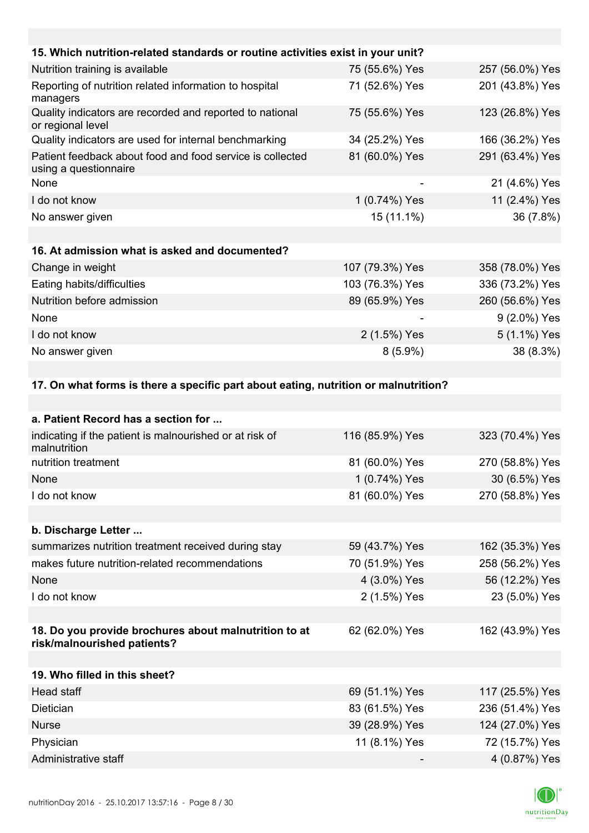| 15. Which nutrition-related standards or routine activities exist in your unit?      |                 |                 |
|--------------------------------------------------------------------------------------|-----------------|-----------------|
| Nutrition training is available                                                      | 75 (55.6%) Yes  | 257 (56.0%) Yes |
| Reporting of nutrition related information to hospital<br>managers                   | 71 (52.6%) Yes  | 201 (43.8%) Yes |
| Quality indicators are recorded and reported to national<br>or regional level        | 75 (55.6%) Yes  | 123 (26.8%) Yes |
| Quality indicators are used for internal benchmarking                                | 34 (25.2%) Yes  | 166 (36.2%) Yes |
| Patient feedback about food and food service is collected<br>using a questionnaire   | 81 (60.0%) Yes  | 291 (63.4%) Yes |
| None                                                                                 |                 | 21 (4.6%) Yes   |
| I do not know                                                                        | 1 (0.74%) Yes   | 11 (2.4%) Yes   |
| No answer given                                                                      | 15 (11.1%)      | 36 (7.8%)       |
|                                                                                      |                 |                 |
| 16. At admission what is asked and documented?                                       |                 |                 |
| Change in weight                                                                     | 107 (79.3%) Yes | 358 (78.0%) Yes |
| Eating habits/difficulties                                                           | 103 (76.3%) Yes | 336 (73.2%) Yes |
| Nutrition before admission                                                           | 89 (65.9%) Yes  | 260 (56.6%) Yes |
| None                                                                                 |                 | 9 (2.0%) Yes    |
| I do not know                                                                        | 2 (1.5%) Yes    | 5 (1.1%) Yes    |
| No answer given                                                                      | $8(5.9\%)$      | 38 (8.3%)       |
|                                                                                      |                 |                 |
| 17. On what forms is there a specific part about eating, nutrition or malnutrition?  |                 |                 |
|                                                                                      |                 |                 |
| a. Patient Record has a section for                                                  |                 |                 |
| indicating if the patient is malnourished or at risk of<br>malnutrition              | 116 (85.9%) Yes | 323 (70.4%) Yes |
| nutrition treatment                                                                  | 81 (60.0%) Yes  | 270 (58.8%) Yes |
| <b>None</b>                                                                          | 1 (0.74%) Yes   | 30 (6.5%) Yes   |
| I do not know                                                                        | 81 (60.0%) Yes  | 270 (58.8%) Yes |
|                                                                                      |                 |                 |
| b. Discharge Letter                                                                  |                 |                 |
| summarizes nutrition treatment received during stay                                  | 59 (43.7%) Yes  | 162 (35.3%) Yes |
| makes future nutrition-related recommendations                                       | 70 (51.9%) Yes  | 258 (56.2%) Yes |
| None                                                                                 | 4 (3.0%) Yes    | 56 (12.2%) Yes  |
| I do not know                                                                        | 2 (1.5%) Yes    | 23 (5.0%) Yes   |
|                                                                                      |                 |                 |
| 18. Do you provide brochures about malnutrition to at<br>risk/malnourished patients? | 62 (62.0%) Yes  | 162 (43.9%) Yes |
| 19. Who filled in this sheet?                                                        |                 |                 |
| Head staff                                                                           | 69 (51.1%) Yes  | 117 (25.5%) Yes |
| Dietician                                                                            | 83 (61.5%) Yes  | 236 (51.4%) Yes |

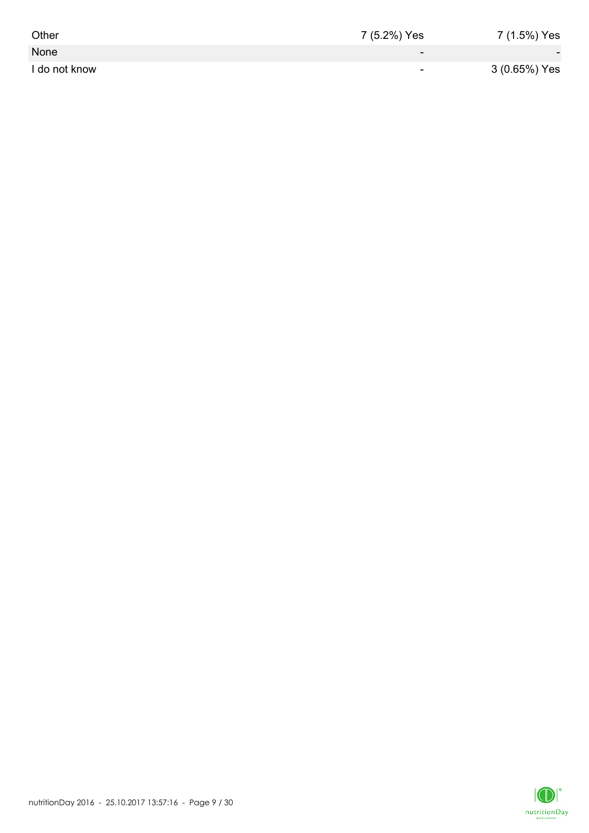| Other         | 7 (5.2%) Yes             | 7 (1.5%) Yes             |
|---------------|--------------------------|--------------------------|
| None          | $\overline{\phantom{0}}$ | $\overline{\phantom{a}}$ |
| I do not know | ۰                        | 3 (0.65%) Yes            |

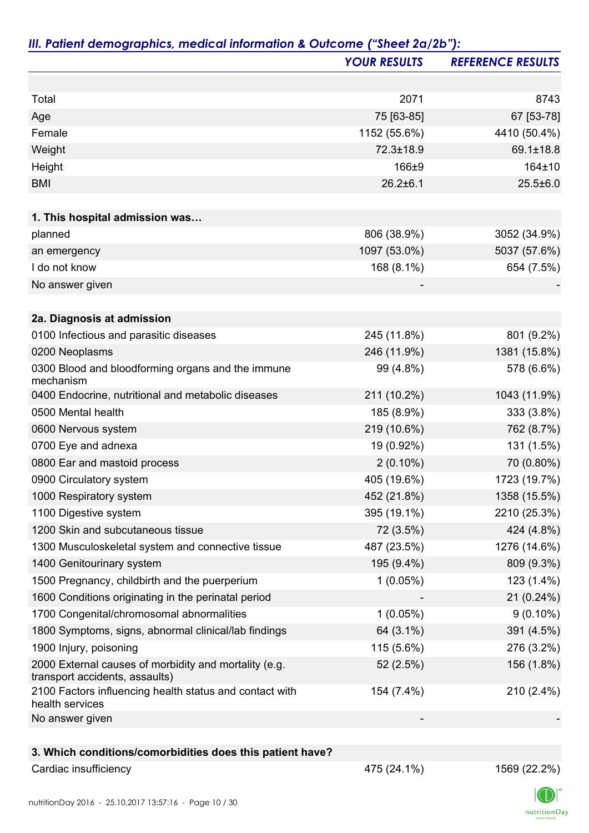|                                                                                         | <b>YOUR RESULTS</b> | <b>REFERENCE RESULTS</b> |
|-----------------------------------------------------------------------------------------|---------------------|--------------------------|
|                                                                                         |                     |                          |
| Total                                                                                   | 2071                | 8743                     |
| Age                                                                                     | 75 [63-85]          | 67 [53-78]               |
| Female                                                                                  | 1152 (55.6%)        | 4410 (50.4%)             |
| Weight                                                                                  | 72.3±18.9           | 69.1±18.8                |
| Height                                                                                  | 166±9               | 164±10                   |
| <b>BMI</b>                                                                              | $26.2 \pm 6.1$      | $25.5 \pm 6.0$           |
|                                                                                         |                     |                          |
| 1. This hospital admission was                                                          |                     |                          |
| planned                                                                                 | 806 (38.9%)         | 3052 (34.9%)             |
| an emergency                                                                            | 1097 (53.0%)        | 5037 (57.6%)             |
| I do not know                                                                           | 168 (8.1%)          | 654 (7.5%)               |
| No answer given                                                                         |                     |                          |
| 2a. Diagnosis at admission                                                              |                     |                          |
| 0100 Infectious and parasitic diseases                                                  | 245 (11.8%)         | 801 (9.2%)               |
| 0200 Neoplasms                                                                          | 246 (11.9%)         | 1381 (15.8%)             |
| 0300 Blood and bloodforming organs and the immune<br>mechanism                          | 99 (4.8%)           | 578 (6.6%)               |
| 0400 Endocrine, nutritional and metabolic diseases                                      | 211 (10.2%)         | 1043 (11.9%)             |
| 0500 Mental health                                                                      | 185 (8.9%)          | 333 (3.8%)               |
| 0600 Nervous system                                                                     | 219 (10.6%)         | 762 (8.7%)               |
| 0700 Eye and adnexa                                                                     | 19 (0.92%)          | 131 (1.5%)               |
| 0800 Ear and mastoid process                                                            | $2(0.10\%)$         | 70 (0.80%)               |
| 0900 Circulatory system                                                                 | 405 (19.6%)         | 1723 (19.7%)             |
| 1000 Respiratory system                                                                 | 452 (21.8%)         | 1358 (15.5%)             |
| 1100 Digestive system                                                                   | 395 (19.1%)         | 2210 (25.3%)             |
| 1200 Skin and subcutaneous tissue                                                       | 72 (3.5%)           | 424 (4.8%)               |
| 1300 Musculoskeletal system and connective tissue                                       | 487 (23.5%)         | 1276 (14.6%)             |
| 1400 Genitourinary system                                                               | 195 (9.4%)          | 809 (9.3%)               |
| 1500 Pregnancy, childbirth and the puerperium                                           | 1(0.05%)            | 123 (1.4%)               |
| 1600 Conditions originating in the perinatal period                                     |                     | 21 (0.24%)               |
| 1700 Congenital/chromosomal abnormalities                                               | 1(0.05%)            | $9(0.10\%)$              |
| 1800 Symptoms, signs, abnormal clinical/lab findings                                    | 64 (3.1%)           | 391 (4.5%)               |
| 1900 Injury, poisoning                                                                  | 115 (5.6%)          | 276 (3.2%)               |
| 2000 External causes of morbidity and mortality (e.g.<br>transport accidents, assaults) | 52 (2.5%)           | 156 (1.8%)               |
| 2100 Factors influencing health status and contact with<br>health services              | 154 (7.4%)          | 210 (2.4%)               |
| No answer given                                                                         |                     |                          |
| 3. Which conditions/comorbidities does this patient have?                               |                     |                          |

### Cardiac insufficiency 1569 (22.2%)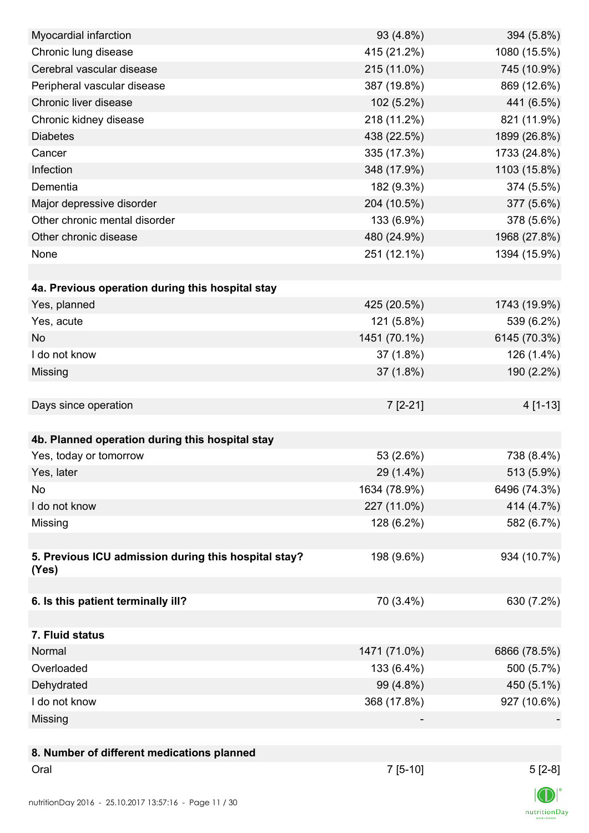| Myocardial infarction                                | 93 (4.8%)    | 394 (5.8%)            |
|------------------------------------------------------|--------------|-----------------------|
| Chronic lung disease                                 | 415 (21.2%)  | 1080 (15.5%)          |
| Cerebral vascular disease                            | 215 (11.0%)  | 745 (10.9%)           |
| Peripheral vascular disease                          | 387 (19.8%)  | 869 (12.6%)           |
| Chronic liver disease                                | 102 (5.2%)   | 441 (6.5%)            |
| Chronic kidney disease                               | 218 (11.2%)  | 821 (11.9%)           |
| <b>Diabetes</b>                                      | 438 (22.5%)  | 1899 (26.8%)          |
| Cancer                                               | 335 (17.3%)  | 1733 (24.8%)          |
| Infection                                            | 348 (17.9%)  | 1103 (15.8%)          |
| Dementia                                             | 182 (9.3%)   | 374 (5.5%)            |
| Major depressive disorder                            | 204 (10.5%)  | 377 (5.6%)            |
| Other chronic mental disorder                        | 133 (6.9%)   | 378 (5.6%)            |
| Other chronic disease                                | 480 (24.9%)  | 1968 (27.8%)          |
| None                                                 | 251 (12.1%)  | 1394 (15.9%)          |
|                                                      |              |                       |
| 4a. Previous operation during this hospital stay     |              |                       |
| Yes, planned                                         | 425 (20.5%)  | 1743 (19.9%)          |
| Yes, acute                                           | 121 (5.8%)   | 539 (6.2%)            |
| <b>No</b>                                            | 1451 (70.1%) | 6145 (70.3%)          |
| I do not know                                        | 37(1.8%)     | 126 (1.4%)            |
| Missing                                              | 37 (1.8%)    | 190 (2.2%)            |
|                                                      |              |                       |
| Days since operation                                 | $7[2-21]$    | 4 [1-13]              |
|                                                      |              |                       |
| 4b. Planned operation during this hospital stay      |              |                       |
| Yes, today or tomorrow                               | 53 (2.6%)    | 738 (8.4%)            |
| Yes, later                                           | 29 (1.4%)    | 513 (5.9%)            |
| No                                                   | 1634 (78.9%) | 6496 (74.3%)          |
| I do not know                                        | 227 (11.0%)  | 414 (4.7%)            |
| Missing                                              | 128 (6.2%)   | 582 (6.7%)            |
|                                                      |              |                       |
| 5. Previous ICU admission during this hospital stay? | 198 (9.6%)   | 934 (10.7%)           |
| (Yes)                                                |              |                       |
|                                                      |              |                       |
| 6. Is this patient terminally ill?                   | 70 (3.4%)    | 630 (7.2%)            |
|                                                      |              |                       |
| 7. Fluid status                                      |              |                       |
| Normal                                               | 1471 (71.0%) | 6866 (78.5%)          |
| Overloaded                                           | 133 (6.4%)   | 500 (5.7%)            |
| Dehydrated                                           | 99 (4.8%)    | 450 (5.1%)            |
| I do not know                                        | 368 (17.8%)  | 927 (10.6%)           |
| Missing                                              |              |                       |
|                                                      |              |                       |
| 8. Number of different medications planned           |              |                       |
| Oral                                                 | $7[5-10]$    | $5[2-8]$              |
|                                                      |              | $\sqrt{2}$ $\sqrt{2}$ |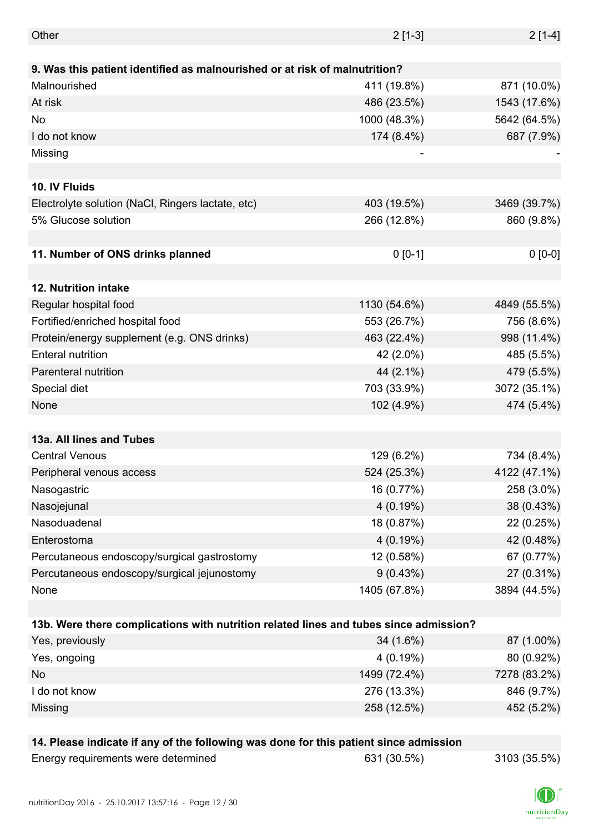| Energy requirements were determined                                                   | 631 (30.5%)  | 3103 (35.5%) |
|---------------------------------------------------------------------------------------|--------------|--------------|
| 14. Please indicate if any of the following was done for this patient since admission |              |              |
|                                                                                       |              |              |
| Missing                                                                               | 258 (12.5%)  | 452 (5.2%)   |
| I do not know                                                                         | 276 (13.3%)  | 846 (9.7%)   |
| <b>No</b>                                                                             | 1499 (72.4%) | 7278 (83.2%) |
| Yes, ongoing                                                                          | 4(0.19%)     | 80 (0.92%)   |
| Yes, previously                                                                       | 34 (1.6%)    | 87 (1.00%)   |
| 13b. Were there complications with nutrition related lines and tubes since admission? |              |              |
|                                                                                       |              |              |
| None                                                                                  | 1405 (67.8%) | 3894 (44.5%) |
| Percutaneous endoscopy/surgical jejunostomy                                           | 9(0.43%)     | 27 (0.31%)   |
| Percutaneous endoscopy/surgical gastrostomy                                           | 12 (0.58%)   | 67 (0.77%)   |
| Enterostoma                                                                           | 4(0.19%)     | 42 (0.48%)   |
| Nasoduadenal                                                                          | 18 (0.87%)   | 22 (0.25%)   |
| Nasojejunal                                                                           | 4(0.19%)     | 38 (0.43%)   |
| Nasogastric                                                                           | 16 (0.77%)   | 258 (3.0%)   |
| Peripheral venous access                                                              | 524 (25.3%)  | 4122 (47.1%) |
| <b>Central Venous</b>                                                                 | 129 (6.2%)   | 734 (8.4%)   |
| 13a. All lines and Tubes                                                              |              |              |
|                                                                                       |              |              |
| None                                                                                  | 102 (4.9%)   | 474 (5.4%)   |
| Special diet                                                                          | 703 (33.9%)  | 3072 (35.1%) |
| Parenteral nutrition                                                                  | 44 (2.1%)    | 479 (5.5%)   |
| <b>Enteral nutrition</b>                                                              | 42 (2.0%)    | 485 (5.5%)   |
| Protein/energy supplement (e.g. ONS drinks)                                           | 463 (22.4%)  | 998 (11.4%)  |
| Fortified/enriched hospital food                                                      | 553 (26.7%)  | 756 (8.6%)   |
| Regular hospital food                                                                 | 1130 (54.6%) | 4849 (55.5%) |
| 12. Nutrition intake                                                                  |              |              |
|                                                                                       |              |              |
| 11. Number of ONS drinks planned                                                      | $0 [0-1]$    | $0 [0-0]$    |
|                                                                                       |              |              |
| 5% Glucose solution                                                                   | 266 (12.8%)  | 860 (9.8%)   |
| Electrolyte solution (NaCl, Ringers lactate, etc)                                     | 403 (19.5%)  | 3469 (39.7%) |
| 10. IV Fluids                                                                         |              |              |
|                                                                                       |              |              |
| Missing                                                                               |              |              |
| I do not know                                                                         | 174 (8.4%)   | 687 (7.9%)   |
| No                                                                                    | 1000 (48.3%) | 5642 (64.5%) |
| At risk                                                                               | 486 (23.5%)  | 1543 (17.6%) |
| Malnourished                                                                          | 411 (19.8%)  | 871 (10.0%)  |
| 9. Was this patient identified as malnourished or at risk of malnutrition?            |              |              |
| Other                                                                                 | $2[1-3]$     | $2[1-4]$     |
|                                                                                       |              |              |

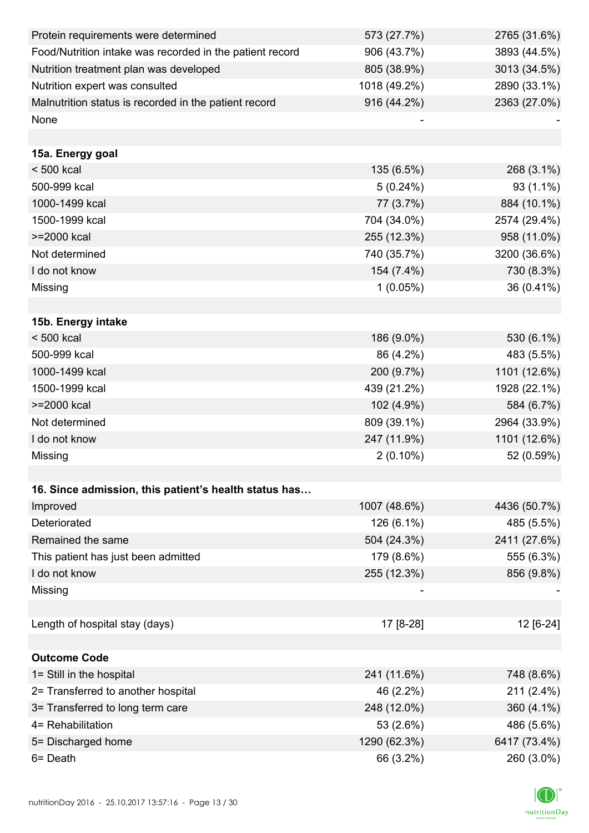| Protein requirements were determined                     | 573 (27.7%)  | 2765 (31.6%) |
|----------------------------------------------------------|--------------|--------------|
| Food/Nutrition intake was recorded in the patient record | 906 (43.7%)  | 3893 (44.5%) |
| Nutrition treatment plan was developed                   | 805 (38.9%)  | 3013 (34.5%) |
| Nutrition expert was consulted                           | 1018 (49.2%) | 2890 (33.1%) |
| Malnutrition status is recorded in the patient record    | 916 (44.2%)  | 2363 (27.0%) |
| None                                                     |              |              |
|                                                          |              |              |
| 15a. Energy goal                                         |              |              |
| < 500 kcal                                               | 135 (6.5%)   | 268 (3.1%)   |
| 500-999 kcal                                             | 5(0.24%)     | 93 (1.1%)    |
| 1000-1499 kcal                                           | 77 (3.7%)    | 884 (10.1%)  |
| 1500-1999 kcal                                           | 704 (34.0%)  | 2574 (29.4%) |
| >=2000 kcal                                              | 255 (12.3%)  | 958 (11.0%)  |
| Not determined                                           | 740 (35.7%)  | 3200 (36.6%) |
| I do not know                                            | 154 (7.4%)   | 730 (8.3%)   |
| Missing                                                  | $1(0.05\%)$  | 36 (0.41%)   |
|                                                          |              |              |
| 15b. Energy intake                                       |              |              |
| $< 500$ kcal                                             | 186 (9.0%)   | 530 (6.1%)   |
| 500-999 kcal                                             | 86 (4.2%)    | 483 (5.5%)   |
| 1000-1499 kcal                                           | 200 (9.7%)   | 1101 (12.6%) |
| 1500-1999 kcal                                           | 439 (21.2%)  | 1928 (22.1%) |
| >=2000 kcal                                              | 102 (4.9%)   | 584 (6.7%)   |
| Not determined                                           | 809 (39.1%)  | 2964 (33.9%) |
| I do not know                                            | 247 (11.9%)  | 1101 (12.6%) |
| Missing                                                  | $2(0.10\%)$  | 52 (0.59%)   |
|                                                          |              |              |
| 16. Since admission, this patient's health status has    |              |              |
| Improved                                                 | 1007 (48.6%) | 4436 (50.7%) |
| Deteriorated                                             | 126 (6.1%)   | 485 (5.5%)   |
| Remained the same                                        | 504 (24.3%)  | 2411 (27.6%) |
| This patient has just been admitted                      | 179 (8.6%)   | 555 (6.3%)   |
| I do not know                                            | 255 (12.3%)  | 856 (9.8%)   |
| Missing                                                  |              |              |
|                                                          |              |              |
| Length of hospital stay (days)                           | 17 [8-28]    | 12 [6-24]    |
|                                                          |              |              |
| <b>Outcome Code</b>                                      |              |              |
| 1= Still in the hospital                                 | 241 (11.6%)  | 748 (8.6%)   |
| 2= Transferred to another hospital                       | 46 (2.2%)    | 211 (2.4%)   |
| 3= Transferred to long term care                         | 248 (12.0%)  | 360 (4.1%)   |
| 4= Rehabilitation                                        | 53 (2.6%)    | 486 (5.6%)   |
| 5= Discharged home                                       | 1290 (62.3%) | 6417 (73.4%) |
| 6= Death                                                 | 66 (3.2%)    | 260 (3.0%)   |

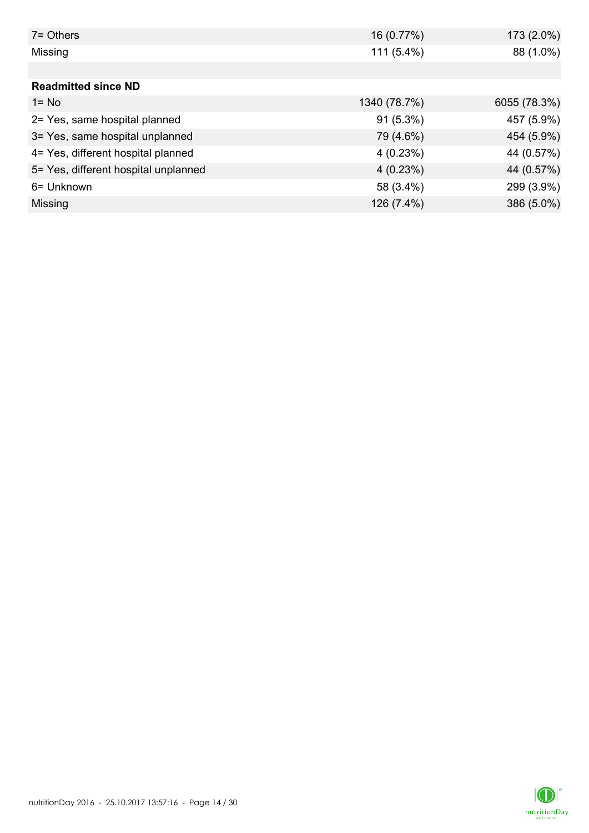| $7 =$ Others                         | 16 (0.77%)   | 173 (2.0%)   |
|--------------------------------------|--------------|--------------|
| Missing                              | $111(5.4\%)$ | 88 (1.0%)    |
|                                      |              |              |
| <b>Readmitted since ND</b>           |              |              |
| $1 = No$                             | 1340 (78.7%) | 6055 (78.3%) |
| 2= Yes, same hospital planned        | $91(5.3\%)$  | 457 (5.9%)   |
| 3= Yes, same hospital unplanned      | 79 (4.6%)    | 454 (5.9%)   |
| 4= Yes, different hospital planned   | 4(0.23%)     | 44 (0.57%)   |
| 5= Yes, different hospital unplanned | 4(0.23%)     | 44 (0.57%)   |
| 6= Unknown                           | 58 (3.4%)    | 299 (3.9%)   |
| Missing                              | 126 (7.4%)   | 386 (5.0%)   |

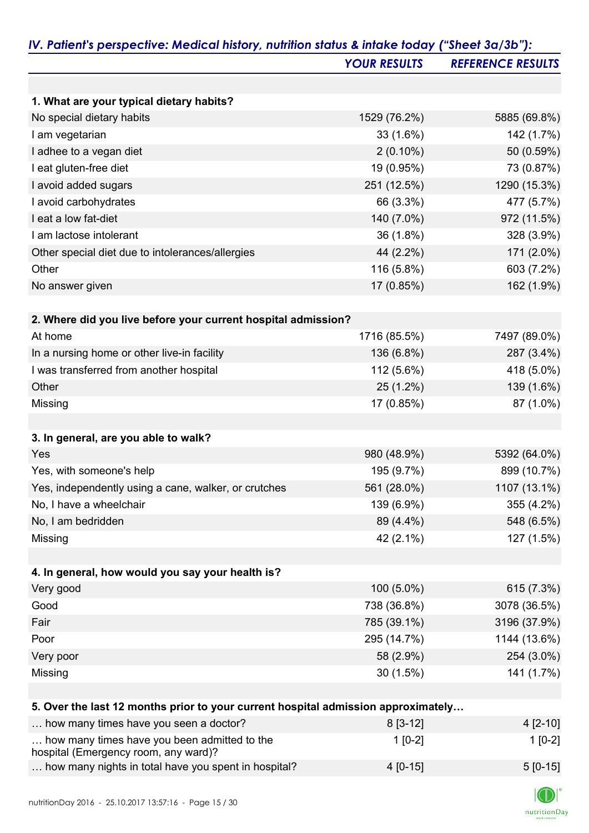|                                                                                   | <b>YOUR RESULTS</b> | <b>REFERENCE RESULTS</b> |
|-----------------------------------------------------------------------------------|---------------------|--------------------------|
|                                                                                   |                     |                          |
| 1. What are your typical dietary habits?                                          |                     |                          |
| No special dietary habits                                                         | 1529 (76.2%)        | 5885 (69.8%)             |
| I am vegetarian                                                                   | 33 (1.6%)           | 142 (1.7%)               |
| I adhee to a vegan diet                                                           | $2(0.10\%)$         | 50 (0.59%)               |
| I eat gluten-free diet                                                            | 19 (0.95%)          | 73 (0.87%)               |
| I avoid added sugars                                                              | 251 (12.5%)         | 1290 (15.3%)             |
| I avoid carbohydrates                                                             | 66 (3.3%)           | 477 (5.7%)               |
| I eat a low fat-diet                                                              | 140 (7.0%)          | 972 (11.5%)              |
| I am lactose intolerant                                                           | 36 (1.8%)           | 328 (3.9%)               |
| Other special diet due to intolerances/allergies                                  | 44 (2.2%)           | 171 (2.0%)               |
| Other                                                                             | 116 (5.8%)          | 603 (7.2%)               |
| No answer given                                                                   | 17 (0.85%)          | 162 (1.9%)               |
| 2. Where did you live before your current hospital admission?                     |                     |                          |
| At home                                                                           | 1716 (85.5%)        | 7497 (89.0%)             |
| In a nursing home or other live-in facility                                       | 136 (6.8%)          | 287 (3.4%)               |
| I was transferred from another hospital                                           | 112 (5.6%)          | 418 (5.0%)               |
| Other                                                                             | 25 (1.2%)           | 139 (1.6%)               |
| Missing                                                                           | 17 (0.85%)          | 87 (1.0%)                |
|                                                                                   |                     |                          |
| 3. In general, are you able to walk?                                              |                     |                          |
| Yes                                                                               | 980 (48.9%)         | 5392 (64.0%)             |
| Yes, with someone's help                                                          | 195 (9.7%)          | 899 (10.7%)              |
| Yes, independently using a cane, walker, or crutches                              | 561 (28.0%)         | 1107 (13.1%)             |
| No, I have a wheelchair                                                           | 139 (6.9%)          | 355 (4.2%)               |
| No, I am bedridden                                                                | 89 (4.4%)           | 548 (6.5%)               |
| Missing                                                                           | 42 (2.1%)           | 127 (1.5%)               |
| 4. In general, how would you say your health is?                                  |                     |                          |
| Very good                                                                         | 100 (5.0%)          | 615 (7.3%)               |
| Good                                                                              | 738 (36.8%)         | 3078 (36.5%)             |
| Fair                                                                              | 785 (39.1%)         | 3196 (37.9%)             |
| Poor                                                                              | 295 (14.7%)         | 1144 (13.6%)             |
| Very poor                                                                         | 58 (2.9%)           | 254 (3.0%)               |
|                                                                                   |                     | 141 (1.7%)               |
| Missing                                                                           | $30(1.5\%)$         |                          |
| 5. Over the last 12 months prior to your current hospital admission approximately |                     |                          |
| how many times have you seen a doctor?                                            | $8[3-12]$           | 4 [2-10]                 |
| how many times have you been admitted to the                                      | $1[0-2]$            | $1[0-2]$                 |

| how many times have you been admitted to the<br>hospital (Emergency room, any ward)? | $1$ [0-2]  | $1$ [0-2]  |
|--------------------------------------------------------------------------------------|------------|------------|
| how many nights in total have you spent in hospital?                                 | $4$ [0-15] | $5$ [0-15] |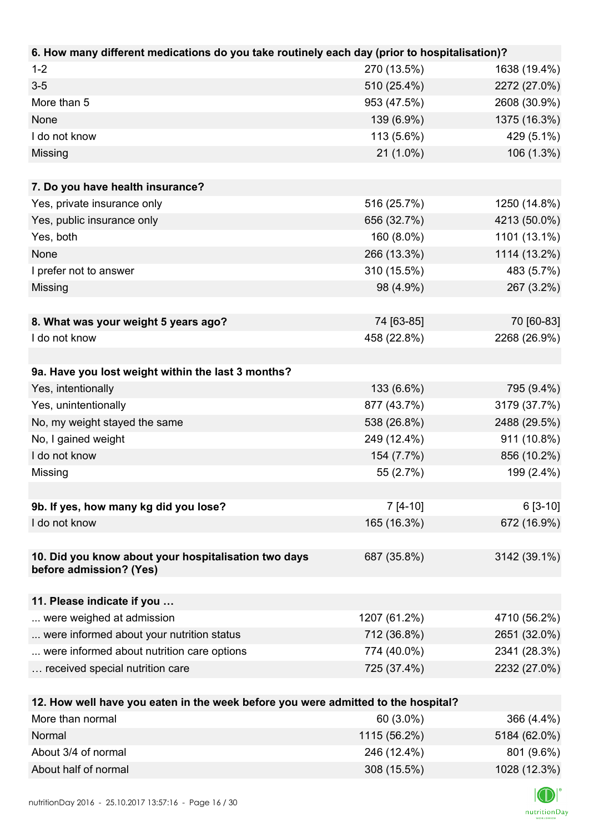| 6. How many different medications do you take routinely each day (prior to hospitalisation)? |              |              |
|----------------------------------------------------------------------------------------------|--------------|--------------|
| $1 - 2$                                                                                      | 270 (13.5%)  | 1638 (19.4%) |
| $3-5$                                                                                        | 510 (25.4%)  | 2272 (27.0%) |
| More than 5                                                                                  | 953 (47.5%)  | 2608 (30.9%) |
| None                                                                                         | 139 (6.9%)   | 1375 (16.3%) |
| I do not know                                                                                | 113 (5.6%)   | 429 (5.1%)   |
| Missing                                                                                      | 21 (1.0%)    | 106 (1.3%)   |
|                                                                                              |              |              |
| 7. Do you have health insurance?                                                             |              |              |
| Yes, private insurance only                                                                  | 516 (25.7%)  | 1250 (14.8%) |
| Yes, public insurance only                                                                   | 656 (32.7%)  | 4213 (50.0%) |
| Yes, both                                                                                    | 160 (8.0%)   | 1101 (13.1%) |
| None                                                                                         | 266 (13.3%)  | 1114 (13.2%) |
| I prefer not to answer                                                                       | 310 (15.5%)  | 483 (5.7%)   |
| Missing                                                                                      | 98 (4.9%)    | 267 (3.2%)   |
|                                                                                              |              |              |
| 8. What was your weight 5 years ago?                                                         | 74 [63-85]   | 70 [60-83]   |
| I do not know                                                                                | 458 (22.8%)  | 2268 (26.9%) |
|                                                                                              |              |              |
| 9a. Have you lost weight within the last 3 months?                                           |              |              |
| Yes, intentionally                                                                           | 133 (6.6%)   | 795 (9.4%)   |
| Yes, unintentionally                                                                         | 877 (43.7%)  | 3179 (37.7%) |
| No, my weight stayed the same                                                                | 538 (26.8%)  | 2488 (29.5%) |
| No, I gained weight                                                                          | 249 (12.4%)  | 911 (10.8%)  |
| I do not know                                                                                | 154 (7.7%)   | 856 (10.2%)  |
| Missing                                                                                      | 55 (2.7%)    | 199 (2.4%)   |
|                                                                                              |              |              |
| 9b. If yes, how many kg did you lose?                                                        | $7 [4-10]$   | $6[3-10]$    |
| I do not know                                                                                | 165 (16.3%)  | 672 (16.9%)  |
|                                                                                              |              |              |
| 10. Did you know about your hospitalisation two days<br>before admission? (Yes)              | 687 (35.8%)  | 3142 (39.1%) |
| 11. Please indicate if you                                                                   |              |              |
| were weighed at admission                                                                    | 1207 (61.2%) | 4710 (56.2%) |
| were informed about your nutrition status                                                    | 712 (36.8%)  | 2651 (32.0%) |
| were informed about nutrition care options                                                   | 774 (40.0%)  | 2341 (28.3%) |
| received special nutrition care                                                              | 725 (37.4%)  | 2232 (27.0%) |
|                                                                                              |              |              |
| 12. How well have you eaten in the week before you were admitted to the hospital?            |              |              |
| More than normal                                                                             | 60 (3.0%)    | 366 (4.4%)   |
| <b>Normal</b>                                                                                | 1115(56.201) | 6191(620)    |

| Normal               | 1115 (56.2%) | 5184 (62.0%) |
|----------------------|--------------|--------------|
| About 3/4 of normal  | 246 (12.4%)  | 801 (9.6%)   |
| About half of normal | 308 (15.5%)  | 1028 (12.3%) |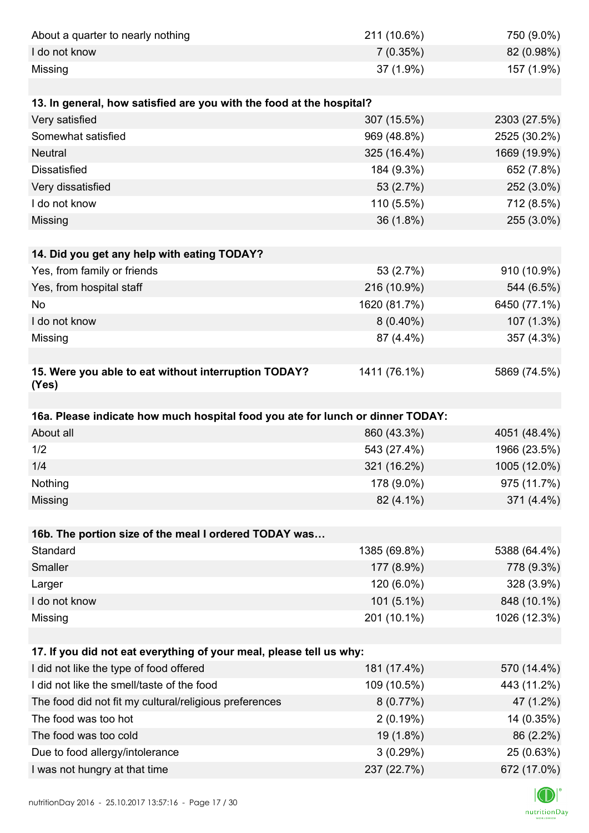| About a quarter to nearly nothing                                              | 211 (10.6%)             | 750 (9.0%)                |
|--------------------------------------------------------------------------------|-------------------------|---------------------------|
| I do not know                                                                  | 7(0.35%)                | 82 (0.98%)                |
| Missing                                                                        | 37 (1.9%)               | 157 (1.9%)                |
|                                                                                |                         |                           |
| 13. In general, how satisfied are you with the food at the hospital?           |                         |                           |
| Very satisfied                                                                 | 307 (15.5%)             | 2303 (27.5%)              |
| Somewhat satisfied                                                             | 969 (48.8%)             | 2525 (30.2%)              |
| <b>Neutral</b>                                                                 | 325 (16.4%)             | 1669 (19.9%)              |
| <b>Dissatisfied</b>                                                            | 184 (9.3%)              | 652 (7.8%)                |
| Very dissatisfied                                                              | 53 (2.7%)               | 252 (3.0%)                |
| I do not know                                                                  | 110 (5.5%)              | 712 (8.5%)                |
| Missing                                                                        | 36 (1.8%)               | 255 (3.0%)                |
|                                                                                |                         |                           |
| 14. Did you get any help with eating TODAY?                                    |                         |                           |
| Yes, from family or friends                                                    | 53 (2.7%)               | 910 (10.9%)               |
| Yes, from hospital staff                                                       | 216 (10.9%)             | 544 (6.5%)                |
| No                                                                             | 1620 (81.7%)            | 6450 (77.1%)              |
| I do not know                                                                  | $8(0.40\%)$             | 107 (1.3%)                |
| Missing                                                                        | 87 (4.4%)               | 357 (4.3%)                |
|                                                                                |                         |                           |
| 15. Were you able to eat without interruption TODAY?<br>(Yes)                  | 1411 (76.1%)            | 5869 (74.5%)              |
|                                                                                |                         |                           |
| 16a. Please indicate how much hospital food you ate for lunch or dinner TODAY: |                         |                           |
| About all                                                                      | 860 (43.3%)             | 4051 (48.4%)              |
|                                                                                |                         |                           |
| 1/2                                                                            | 543 (27.4%)             | 1966 (23.5%)              |
| 1/4                                                                            | 321 (16.2%)             | 1005 (12.0%)              |
| Nothing                                                                        | 178 (9.0%)              | 975 (11.7%)               |
| Missing                                                                        | 82 (4.1%)               | 371 (4.4%)                |
|                                                                                |                         |                           |
| 16b. The portion size of the meal I ordered TODAY was                          |                         |                           |
| Standard                                                                       | 1385 (69.8%)            | 5388 (64.4%)              |
| Smaller                                                                        | 177 (8.9%)              | 778 (9.3%)                |
| Larger                                                                         | 120 (6.0%)              | 328 (3.9%)                |
| I do not know                                                                  | 101 (5.1%)              | 848 (10.1%)               |
| Missing                                                                        | 201 (10.1%)             | 1026 (12.3%)              |
|                                                                                |                         |                           |
| 17. If you did not eat everything of your meal, please tell us why:            |                         |                           |
| I did not like the type of food offered                                        | 181 (17.4%)             | 570 (14.4%)               |
| I did not like the smell/taste of the food                                     | 109 (10.5%)             | 443 (11.2%)               |
| The food did not fit my cultural/religious preferences                         | 8(0.77%)                | 47 (1.2%)                 |
| The food was too hot                                                           | 2(0.19%)                | 14 (0.35%)                |
| The food was too cold                                                          | 19 (1.8%)               | 86 (2.2%)                 |
| Due to food allergy/intolerance<br>I was not hungry at that time               | 3(0.29%)<br>237 (22.7%) | 25 (0.63%)<br>672 (17.0%) |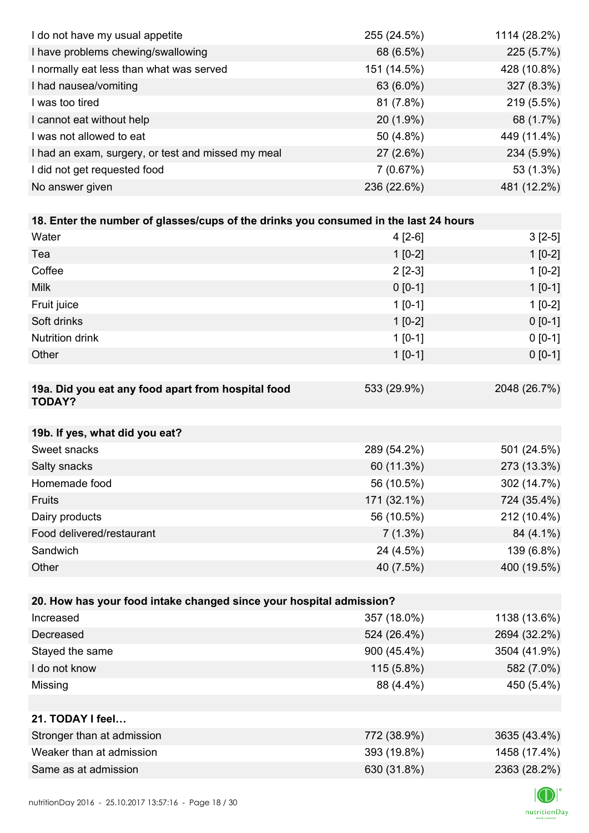| I do not have my usual appetite                                                      | 255 (24.5%) | 1114 (28.2%) |
|--------------------------------------------------------------------------------------|-------------|--------------|
| I have problems chewing/swallowing                                                   | 68 (6.5%)   | 225 (5.7%)   |
| I normally eat less than what was served                                             | 151 (14.5%) | 428 (10.8%)  |
| I had nausea/vomiting                                                                | 63 (6.0%)   | 327 (8.3%)   |
| I was too tired                                                                      | 81 (7.8%)   | 219 (5.5%)   |
| I cannot eat without help                                                            | 20 (1.9%)   | 68 (1.7%)    |
| I was not allowed to eat                                                             | 50 (4.8%)   | 449 (11.4%)  |
| I had an exam, surgery, or test and missed my meal                                   | 27 (2.6%)   | 234 (5.9%)   |
| I did not get requested food                                                         | 7(0.67%)    | 53 (1.3%)    |
| No answer given                                                                      | 236 (22.6%) | 481 (12.2%)  |
|                                                                                      |             |              |
| 18. Enter the number of glasses/cups of the drinks you consumed in the last 24 hours |             |              |
| Water                                                                                | $4[2-6]$    | $3[2-5]$     |
| Tea                                                                                  | $1[0-2]$    | $1[0-2]$     |
| Coffee                                                                               | $2[2-3]$    | $1[0-2]$     |
| <b>Milk</b>                                                                          | $0 [0-1]$   | $1[0-1]$     |
| Fruit juice                                                                          | $1[0-1]$    | $1[0-2]$     |
| Soft drinks                                                                          | $1[0-2]$    | $0[0-1]$     |
| <b>Nutrition drink</b>                                                               | $1[0-1]$    | $0 [0-1]$    |
| Other                                                                                | $1[0-1]$    | $0 [0-1]$    |
|                                                                                      |             |              |
| 19a. Did you eat any food apart from hospital food<br><b>TODAY?</b>                  | 533 (29.9%) | 2048 (26.7%) |
| 19b. If yes, what did you eat?                                                       |             |              |
| Sweet snacks                                                                         | 289 (54.2%) | 501 (24.5%)  |
| Salty snacks                                                                         | 60 (11.3%)  | 273 (13.3%)  |
| Homemade food                                                                        | 56 (10.5%)  | 302 (14.7%)  |
| Fruits                                                                               | 171 (32.1%) | 724 (35.4%)  |
| Dairy products                                                                       | 56 (10.5%)  | 212 (10.4%)  |
| Food delivered/restaurant                                                            | $7(1.3\%)$  | 84 (4.1%)    |
| Sandwich                                                                             | 24 (4.5%)   | 139 (6.8%)   |
| Other                                                                                | 40 (7.5%)   | 400 (19.5%)  |
|                                                                                      |             |              |
| 20. How has your food intake changed since your hospital admission?                  |             |              |
| Increased                                                                            | 357 (18.0%) | 1138 (13.6%) |
| Decreased                                                                            | 524 (26.4%) | 2694 (32.2%) |
| Stayed the same                                                                      | 900 (45.4%) | 3504 (41.9%) |
| I do not know                                                                        | 115 (5.8%)  | 582 (7.0%)   |
| Missing                                                                              | 88 (4.4%)   | 450 (5.4%)   |
|                                                                                      |             |              |
| 21. TODAY I feel                                                                     |             |              |
| Stronger than at admission                                                           | 772 (38.9%) | 3635 (43.4%) |
| Weaker than at admission                                                             | 393 (19.8%) | 1458 (17.4%) |
| Same as at admission                                                                 | 630 (31.8%) | 2363 (28.2%) |
|                                                                                      |             |              |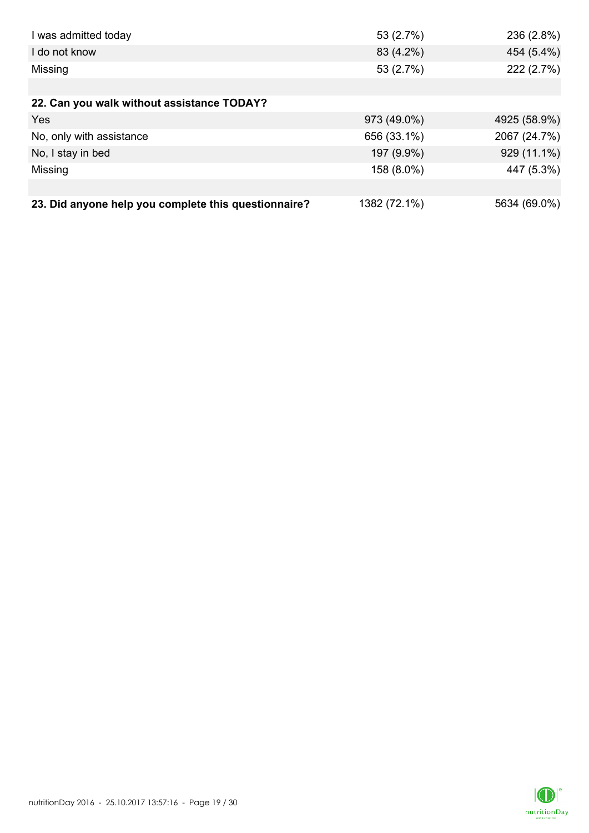| I was admitted today                                 | 53 (2.7%)    | 236 (2.8%)   |
|------------------------------------------------------|--------------|--------------|
| I do not know                                        | 83 (4.2%)    | 454 (5.4%)   |
| Missing                                              | 53 (2.7%)    | 222 (2.7%)   |
|                                                      |              |              |
| 22. Can you walk without assistance TODAY?           |              |              |
| Yes                                                  | 973 (49.0%)  | 4925 (58.9%) |
| No, only with assistance                             | 656 (33.1%)  | 2067 (24.7%) |
| No, I stay in bed                                    | 197 (9.9%)   | 929 (11.1%)  |
| Missing                                              | 158 (8.0%)   | 447 (5.3%)   |
|                                                      |              |              |
| 23. Did anyone help you complete this questionnaire? | 1382 (72.1%) | 5634 (69.0%) |

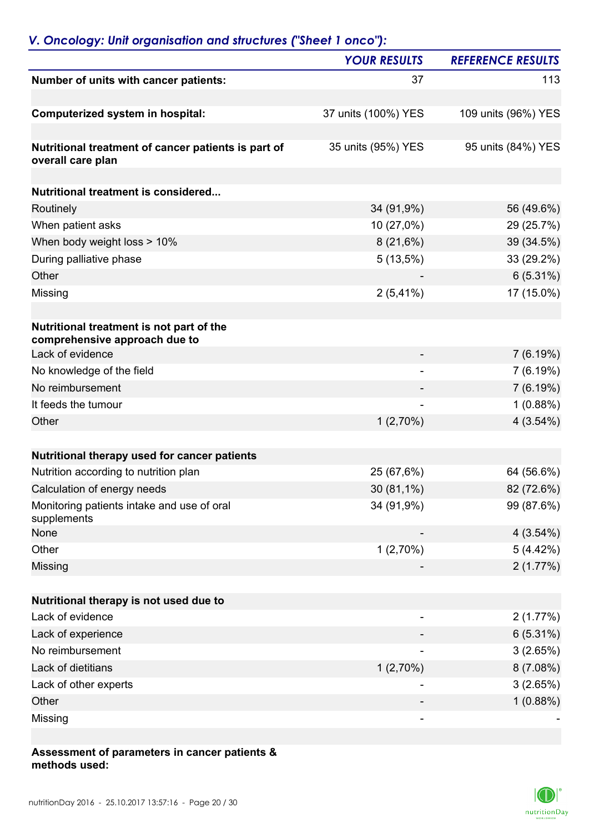### *V. Oncology: Unit organisation and structures ("Sheet 1 onco"):*

| <b>YOUR RESULTS</b>      | <b>REFERENCE RESULTS</b> |
|--------------------------|--------------------------|
| 37                       | 113                      |
|                          |                          |
| 37 units (100%) YES      | 109 units (96%) YES      |
|                          |                          |
|                          | 95 units (84%) YES       |
|                          |                          |
|                          |                          |
| 34 (91,9%)               | 56 (49.6%)               |
| 10 (27,0%)               | 29 (25.7%)               |
| 8(21,6%)                 | 39 (34.5%)               |
| $5(13,5\%)$              | 33 (29.2%)               |
|                          | $6(5.31\%)$              |
| $2(5,41\%)$              | 17 (15.0%)               |
|                          |                          |
|                          |                          |
|                          | 7(6.19%)                 |
|                          | 7(6.19%)                 |
|                          | 7(6.19%)                 |
| $\overline{\phantom{a}}$ | 1(0.88%)                 |
| 1(2,70%)                 | 4(3.54%)                 |
|                          |                          |
|                          |                          |
| 25 (67,6%)               | 64 (56.6%)               |
| 30 (81,1%)               | 82 (72.6%)               |
| 34 (91,9%)               | 99 (87.6%)               |
|                          | $4(3.54\%)$              |
| 1(2,70%)                 | 5(4.42%)                 |
|                          | 2(1.77%)                 |
|                          |                          |
|                          |                          |
|                          | 2(1.77%)                 |
|                          | $6(5.31\%)$              |
|                          | 3(2.65%)                 |
| 1(2,70%)                 | 8(7.08%)                 |
|                          | 3(2.65%)                 |
|                          | 1(0.88%)                 |
|                          |                          |
|                          | 35 units (95%) YES       |

#### **Assessment of parameters in cancer patients & methods used:**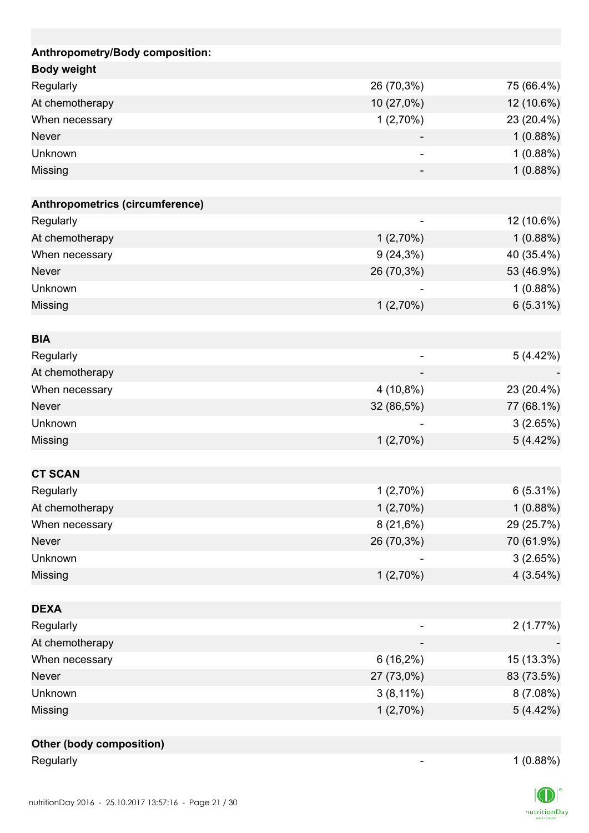| Anthropometry/Body composition: |                              |            |
|---------------------------------|------------------------------|------------|
| <b>Body weight</b>              |                              |            |
| Regularly                       | 26 (70,3%)                   | 75 (66.4%) |
| At chemotherapy                 | 10 (27,0%)                   | 12 (10.6%) |
| When necessary                  | $1(2,70\%)$                  | 23 (20.4%) |
| <b>Never</b>                    |                              | 1(0.88%)   |
| Unknown                         | $\qquad \qquad \blacksquare$ | 1(0.88%)   |
| Missing                         |                              | 1(0.88%)   |
|                                 |                              |            |
| Anthropometrics (circumference) |                              |            |
| Regularly                       |                              | 12 (10.6%) |
| At chemotherapy                 | 1(2,70%)                     | 1(0.88%)   |
| When necessary                  | $9(24,3\%)$                  | 40 (35.4%) |
| <b>Never</b>                    | 26 (70,3%)                   | 53 (46.9%) |
| Unknown                         |                              | 1(0.88%)   |
| Missing                         | 1(2,70%)                     | 6(5.31%)   |
|                                 |                              |            |
| <b>BIA</b>                      |                              |            |
| Regularly                       |                              | 5 (4.42%)  |
| At chemotherapy                 |                              |            |
| When necessary                  | 4 (10,8%)                    | 23 (20.4%) |
| <b>Never</b>                    | 32 (86,5%)                   | 77 (68.1%) |
| Unknown                         |                              | 3(2.65%)   |
| Missing                         | 1(2,70%)                     | 5(4.42%)   |
|                                 |                              |            |
| <b>CT SCAN</b>                  |                              |            |
| Regularly                       | 1(2,70%)                     | 6(5.31%)   |
| At chemotherapy                 | 1(2,70%)                     | 1(0.88%)   |
| When necessary                  | 8(21,6%)                     | 29 (25.7%) |
| <b>Never</b>                    | 26 (70,3%)                   | 70 (61.9%) |
| Unknown                         |                              | 3(2.65%)   |
| Missing                         | 1(2,70%)                     | 4(3.54%)   |
|                                 |                              |            |
| <b>DEXA</b>                     |                              |            |
| Regularly                       |                              | 2(1.77%)   |
| At chemotherapy                 |                              |            |
| When necessary                  | $6(16,2\%)$                  | 15 (13.3%) |
| Never                           | 27 (73,0%)                   | 83 (73.5%) |
| Unknown                         | $3(8,11\%)$                  | 8(7.08%)   |
| Missing                         | 1(2,70%)                     | 5(4.42%)   |
|                                 |                              |            |
| <b>Other (body composition)</b> |                              |            |

Regularly 1 (0.88%)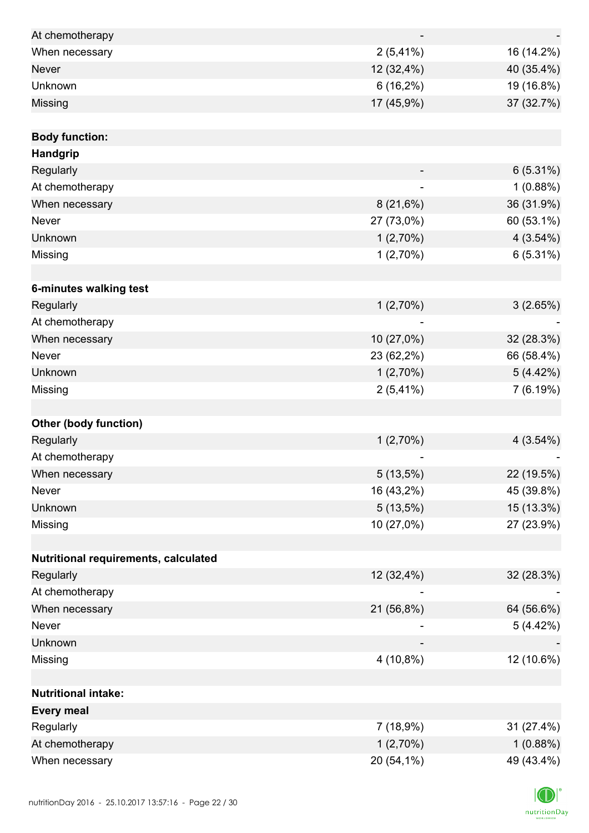| At chemotherapy                      |             |             |
|--------------------------------------|-------------|-------------|
| When necessary                       | $2(5,41\%)$ | 16 (14.2%)  |
| <b>Never</b>                         | 12 (32,4%)  | 40 (35.4%)  |
| Unknown                              | $6(16,2\%)$ | 19 (16.8%)  |
| Missing                              | 17 (45,9%)  | 37 (32.7%)  |
|                                      |             |             |
| <b>Body function:</b>                |             |             |
| Handgrip                             |             |             |
| Regularly                            |             | $6(5.31\%)$ |
| At chemotherapy                      | ÷           | 1(0.88%)    |
| When necessary                       | 8(21,6%)    | 36 (31.9%)  |
| Never                                | 27 (73,0%)  | 60 (53.1%)  |
| Unknown                              | 1(2,70%)    | 4(3.54%)    |
| Missing                              | 1(2,70%)    | $6(5.31\%)$ |
|                                      |             |             |
| 6-minutes walking test               |             |             |
| Regularly                            | 1(2,70%)    | 3(2.65%)    |
| At chemotherapy                      |             |             |
| When necessary                       | 10 (27,0%)  | 32 (28.3%)  |
| Never                                | 23 (62,2%)  | 66 (58.4%)  |
| Unknown                              | 1(2,70%)    | 5(4.42%)    |
| Missing                              | $2(5,41\%)$ | 7(6.19%)    |
|                                      |             |             |
| <b>Other (body function)</b>         |             |             |
| Regularly                            | 1(2,70%)    | 4(3.54%)    |
| At chemotherapy                      |             |             |
| When necessary                       | 5(13,5%)    | 22 (19.5%)  |
| Never                                | 16 (43,2%)  | 45 (39.8%)  |
| Unknown                              | 5(13,5%)    | 15 (13.3%)  |
| Missing                              | 10 (27,0%)  | 27 (23.9%)  |
|                                      |             |             |
| Nutritional requirements, calculated |             |             |
| Regularly                            | 12 (32,4%)  | 32 (28.3%)  |
| At chemotherapy                      |             |             |
| When necessary                       | 21 (56,8%)  | 64 (56.6%)  |
| Never                                |             | 5(4.42%)    |
| Unknown                              |             |             |
| Missing                              | 4 (10,8%)   | 12 (10.6%)  |
|                                      |             |             |
| <b>Nutritional intake:</b>           |             |             |
| <b>Every meal</b>                    |             |             |
| Regularly                            | 7(18,9%)    | 31 (27.4%)  |
| At chemotherapy                      | 1(2,70%)    | 1(0.88%)    |
| When necessary                       | 20 (54,1%)  | 49 (43.4%)  |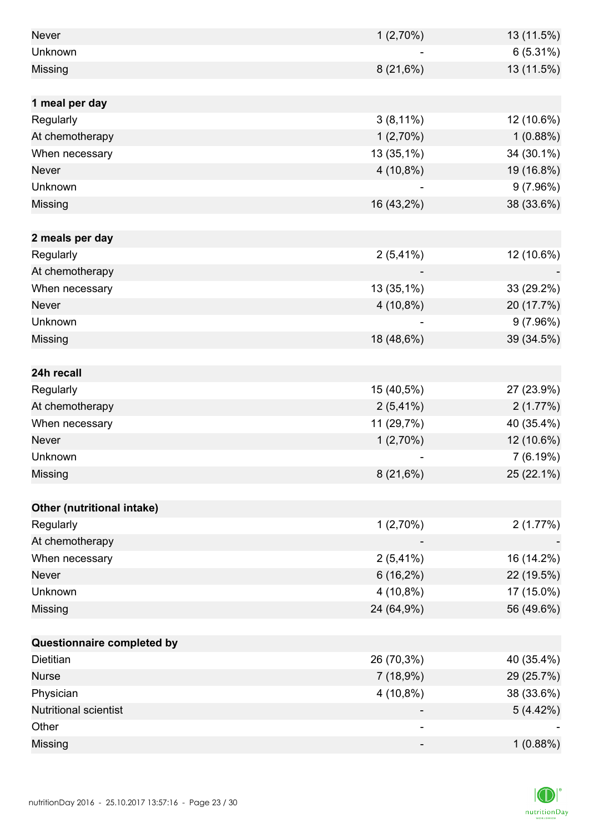| <b>Never</b>                 | 1(2,70%)    | 13 (11.5%) |
|------------------------------|-------------|------------|
| Unknown                      |             | 6(5.31%)   |
| Missing                      | 8(21,6%)    | 13 (11.5%) |
|                              |             |            |
| 1 meal per day               |             |            |
| Regularly                    | $3(8,11\%)$ | 12 (10.6%) |
| At chemotherapy              | 1(2,70%)    | 1(0.88%)   |
| When necessary               | 13 (35,1%)  | 34 (30.1%) |
| Never                        | 4 (10,8%)   | 19 (16.8%) |
| Unknown                      |             | 9(7.96%)   |
| Missing                      | 16 (43,2%)  | 38 (33.6%) |
|                              |             |            |
| 2 meals per day              |             |            |
| Regularly                    | $2(5,41\%)$ | 12 (10.6%) |
| At chemotherapy              |             |            |
| When necessary               | 13 (35,1%)  | 33 (29.2%) |
| <b>Never</b>                 | 4 (10,8%)   | 20 (17.7%) |
| Unknown                      |             | 9(7.96%)   |
| Missing                      | 18 (48,6%)  | 39 (34.5%) |
|                              |             |            |
| 24h recall                   |             |            |
| Regularly                    | 15 (40,5%)  | 27 (23.9%) |
| At chemotherapy              | $2(5,41\%)$ | 2(1.77%)   |
| When necessary               | 11 (29,7%)  | 40 (35.4%) |
| Never                        | 1(2,70%)    | 12 (10.6%) |
| Unknown                      |             | 7(6.19%)   |
| Missing                      | 8(21,6%)    | 25 (22.1%) |
|                              |             |            |
| Other (nutritional intake)   |             |            |
| Regularly                    | 1(2,70%)    | 2(1.77%)   |
| At chemotherapy              |             |            |
| When necessary               | $2(5,41\%)$ | 16 (14.2%) |
| <b>Never</b>                 | $6(16,2\%)$ | 22 (19.5%) |
| Unknown                      | 4 (10,8%)   | 17 (15.0%) |
| Missing                      | 24 (64,9%)  | 56 (49.6%) |
|                              |             |            |
| Questionnaire completed by   |             |            |
| Dietitian                    | 26 (70,3%)  | 40 (35.4%) |
| <b>Nurse</b>                 | 7(18,9%)    | 29 (25.7%) |
| Physician                    | 4 (10,8%)   | 38 (33.6%) |
| <b>Nutritional scientist</b> |             | 5(4.42%)   |
| Other                        | -           |            |
| Missing                      | -           | 1(0.88%)   |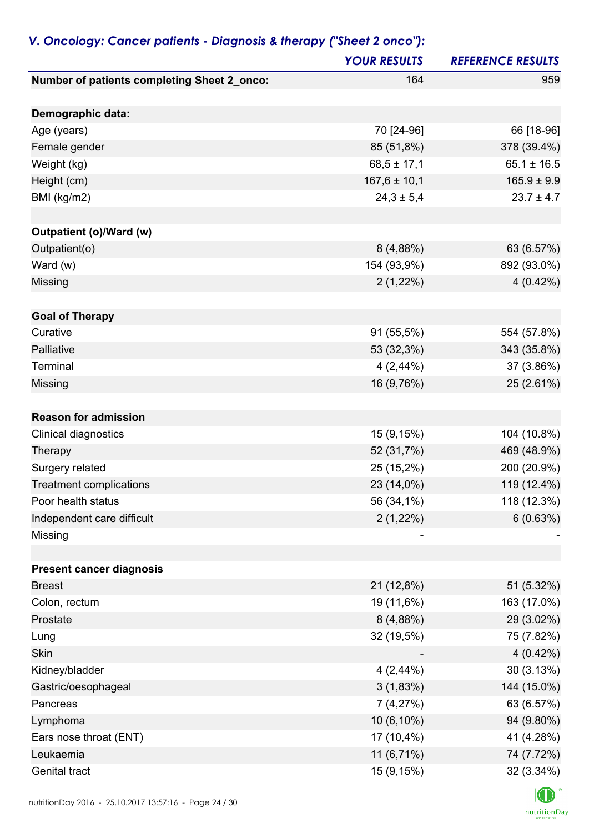|                                             | <b>YOUR RESULTS</b> | <b>REFERENCE RESULTS</b> |
|---------------------------------------------|---------------------|--------------------------|
| Number of patients completing Sheet 2_onco: | 164                 | 959                      |
| Demographic data:                           |                     |                          |
| Age (years)                                 | 70 [24-96]          | 66 [18-96]               |
| Female gender                               | 85 (51,8%)          | 378 (39.4%)              |
| Weight (kg)                                 | $68,5 \pm 17,1$     | $65.1 \pm 16.5$          |
| Height (cm)                                 | $167,6 \pm 10,1$    | $165.9 \pm 9.9$          |
| BMI (kg/m2)                                 | $24,3 \pm 5,4$      | $23.7 \pm 4.7$           |
| Outpatient (o)/Ward (w)                     |                     |                          |
| Outpatient(o)                               | 8(4,88%)            | 63 (6.57%)               |
| Ward (w)                                    | 154 (93,9%)         | 892 (93.0%)              |
| Missing                                     | $2(1,22\%)$         | $4(0.42\%)$              |
| <b>Goal of Therapy</b>                      |                     |                          |
| Curative                                    | 91 (55,5%)          | 554 (57.8%)              |
| Palliative                                  | 53 (32,3%)          | 343 (35.8%)              |
| Terminal                                    | $4(2,44\%)$         | 37 (3.86%)               |
| Missing                                     | 16 (9,76%)          | 25 (2.61%)               |
| <b>Reason for admission</b>                 |                     |                          |
| Clinical diagnostics                        | 15 (9,15%)          | 104 (10.8%)              |
| Therapy                                     | 52 (31,7%)          | 469 (48.9%)              |
| Surgery related                             | 25 (15,2%)          | 200 (20.9%)              |
| <b>Treatment complications</b>              | 23 (14,0%)          | 119 (12.4%)              |
| Poor health status                          | 56 (34,1%)          | 118 (12.3%)              |
| Independent care difficult                  | $2(1,22\%)$         | 6(0.63%)                 |
| Missing                                     |                     |                          |
| <b>Present cancer diagnosis</b>             |                     |                          |
| <b>Breast</b>                               | 21 (12,8%)          | 51 (5.32%)               |
| Colon, rectum                               | 19 (11,6%)          | 163 (17.0%)              |
| Prostate                                    | 8(4,88%)            | 29 (3.02%)               |
| Lung                                        | 32 (19,5%)          | 75 (7.82%)               |
| Skin                                        |                     | $4(0.42\%)$              |
| Kidney/bladder                              | 4(2,44%)            | 30(3.13%)                |
| Gastric/oesophageal                         | 3(1,83%)            | 144 (15.0%)              |
| Pancreas                                    | 7(4,27%)            | 63 (6.57%)               |
| Lymphoma                                    | 10 (6,10%)          | 94 (9.80%)               |
| Ears nose throat (ENT)                      | 17 (10,4%)          | 41 (4.28%)               |
| Leukaemia                                   | 11 (6,71%)          | 74 (7.72%)               |
| Genital tract                               | 15 (9,15%)          | 32 (3.34%)               |

### *V. Oncology: Cancer patients - Diagnosis & therapy ("Sheet 2 onco"):*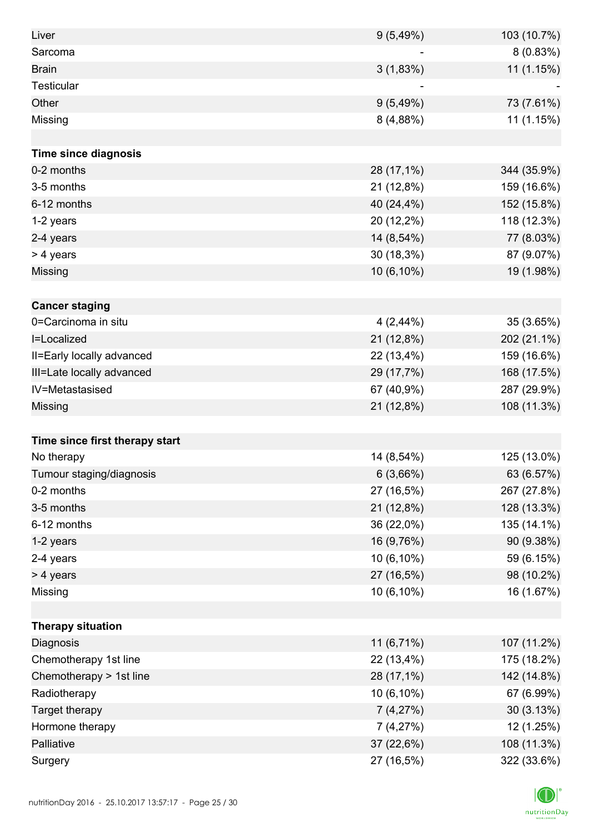| Liver                          | 9(5,49%)    | 103 (10.7%) |
|--------------------------------|-------------|-------------|
| Sarcoma                        |             | 8 (0.83%)   |
| <b>Brain</b>                   | 3(1,83%)    | 11 (1.15%)  |
| <b>Testicular</b>              |             |             |
| Other                          | 9(5,49%)    | 73 (7.61%)  |
| Missing                        | 8(4,88%)    | 11 (1.15%)  |
|                                |             |             |
| <b>Time since diagnosis</b>    |             |             |
| 0-2 months                     | 28 (17,1%)  | 344 (35.9%) |
| 3-5 months                     | 21 (12,8%)  | 159 (16.6%) |
| 6-12 months                    | 40 (24,4%)  | 152 (15.8%) |
| 1-2 years                      | 20 (12,2%)  | 118 (12.3%) |
| 2-4 years                      | 14 (8,54%)  | 77 (8.03%)  |
| > 4 years                      | 30 (18,3%)  | 87 (9.07%)  |
| Missing                        | 10 (6,10%)  | 19 (1.98%)  |
|                                |             |             |
| <b>Cancer staging</b>          |             |             |
| 0=Carcinoma in situ            | $4(2,44\%)$ | 35 (3.65%)  |
| I=Localized                    | 21 (12,8%)  | 202 (21.1%) |
| II=Early locally advanced      | 22 (13,4%)  | 159 (16.6%) |
| III=Late locally advanced      | 29 (17,7%)  | 168 (17.5%) |
| IV=Metastasised                | 67 (40,9%)  | 287 (29.9%) |
| Missing                        | 21 (12,8%)  | 108 (11.3%) |
|                                |             |             |
| Time since first therapy start |             |             |
| No therapy                     | 14 (8,54%)  | 125 (13.0%) |
| Tumour staging/diagnosis       | 6(3,66%)    | 63 (6.57%)  |
| 0-2 months                     | 27 (16,5%)  | 267 (27.8%) |
| 3-5 months                     | 21 (12,8%)  | 128 (13.3%) |
| 6-12 months                    | 36 (22,0%)  | 135 (14.1%) |
| 1-2 years                      | 16 (9,76%)  | 90 (9.38%)  |
| 2-4 years                      | 10 (6,10%)  | 59 (6.15%)  |
| > 4 years                      | 27 (16,5%)  | 98 (10.2%)  |
| Missing                        | 10 (6,10%)  | 16 (1.67%)  |
|                                |             |             |
| <b>Therapy situation</b>       |             |             |
| Diagnosis                      | 11 (6,71%)  | 107 (11.2%) |
| Chemotherapy 1st line          | 22 (13,4%)  | 175 (18.2%) |
| Chemotherapy > 1st line        | 28 (17,1%)  | 142 (14.8%) |
| Radiotherapy                   | 10 (6,10%)  | 67 (6.99%)  |
| Target therapy                 | 7(4,27%)    | 30(3.13%)   |
| Hormone therapy                | 7(4,27%)    | 12 (1.25%)  |
| Palliative                     | 37 (22,6%)  | 108 (11.3%) |
| Surgery                        | 27 (16,5%)  | 322 (33.6%) |

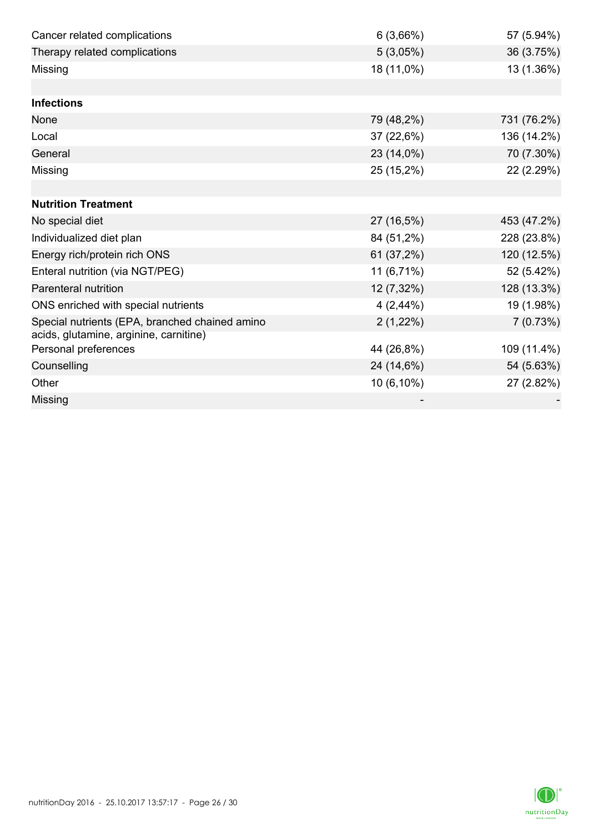| Cancer related complications                   | 6(3,66%)    | 57 (5.94%)  |
|------------------------------------------------|-------------|-------------|
| Therapy related complications                  | 5(3,05%)    | 36 (3.75%)  |
| Missing                                        | 18 (11,0%)  | 13 (1.36%)  |
|                                                |             |             |
| <b>Infections</b>                              |             |             |
| None                                           | 79 (48,2%)  | 731 (76.2%) |
| Local                                          | 37(22,6%)   | 136 (14.2%) |
| General                                        | 23 (14,0%)  | 70 (7.30%)  |
| Missing                                        | 25 (15,2%)  | 22 (2.29%)  |
|                                                |             |             |
| <b>Nutrition Treatment</b>                     |             |             |
| No special diet                                | 27 (16,5%)  | 453 (47.2%) |
| Individualized diet plan                       | 84 (51,2%)  | 228 (23.8%) |
| Energy rich/protein rich ONS                   | 61 (37,2%)  | 120 (12.5%) |
| Enteral nutrition (via NGT/PEG)                | 11 (6,71%)  | 52 (5.42%)  |
| Parenteral nutrition                           | 12 (7,32%)  | 128 (13.3%) |
| ONS enriched with special nutrients            | 4(2,44%)    | 19 (1.98%)  |
| Special nutrients (EPA, branched chained amino | $2(1,22\%)$ | 7(0.73%)    |
| acids, glutamine, arginine, carnitine)         |             |             |
| Personal preferences                           | 44 (26,8%)  | 109 (11.4%) |
| Counselling                                    | 24 (14,6%)  | 54 (5.63%)  |
| Other                                          | 10 (6,10%)  | 27 (2.82%)  |
| Missing                                        |             |             |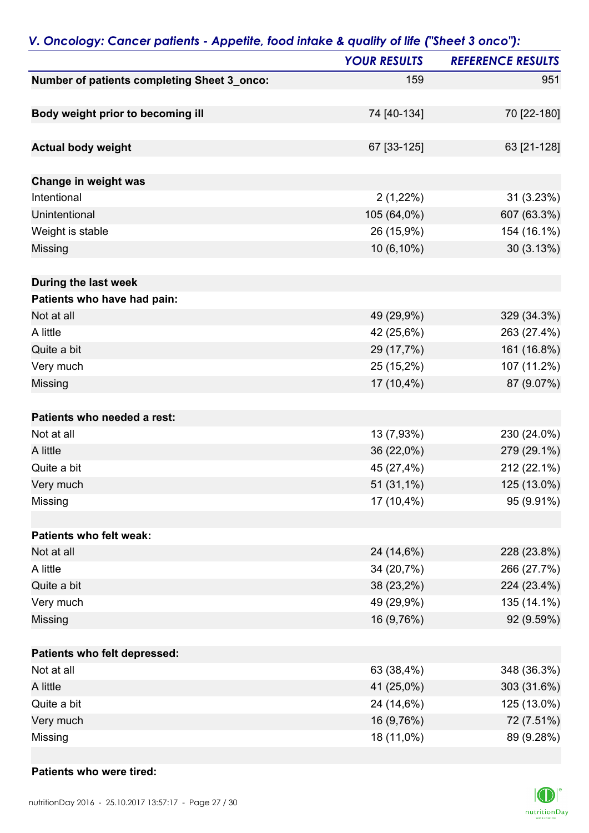|                                             | <b>YOUR RESULTS</b> | <b>REFERENCE RESULTS</b> |
|---------------------------------------------|---------------------|--------------------------|
| Number of patients completing Sheet 3_onco: | 159                 | 951                      |
| Body weight prior to becoming ill           | 74 [40-134]         | 70 [22-180]              |
| <b>Actual body weight</b>                   | 67 [33-125]         | 63 [21-128]              |
|                                             |                     |                          |
| Change in weight was                        |                     |                          |
| Intentional                                 | $2(1,22\%)$         | 31(3.23%)                |
| Unintentional                               | 105 (64,0%)         | 607 (63.3%)              |
| Weight is stable                            | 26 (15,9%)          | 154 (16.1%)              |
| Missing                                     | 10 (6,10%)          | 30(3.13%)                |
| During the last week                        |                     |                          |
| Patients who have had pain:                 |                     |                          |
| Not at all                                  | 49 (29,9%)          | 329 (34.3%)              |
| A little                                    | 42 (25,6%)          | 263 (27.4%)              |
| Quite a bit                                 | 29 (17,7%)          | 161 (16.8%)              |
| Very much                                   | 25 (15,2%)          | 107 (11.2%)              |
| Missing                                     | 17 (10,4%)          | 87 (9.07%)               |
| Patients who needed a rest:                 |                     |                          |
| Not at all                                  | 13 (7,93%)          | 230 (24.0%)              |
| A little                                    | 36 (22,0%)          | 279 (29.1%)              |
| Quite a bit                                 | 45 (27,4%)          | 212 (22.1%)              |
| Very much                                   | 51 (31,1%)          | 125 (13.0%)              |
| Missing                                     | 17 (10,4%)          | 95 (9.91%)               |
|                                             |                     |                          |
| Patients who felt weak:                     |                     |                          |
| Not at all                                  | 24 (14,6%)          | 228 (23.8%)              |
| A little                                    | 34 (20,7%)          | 266 (27.7%)              |
| Quite a bit                                 | 38 (23,2%)          | 224 (23.4%)              |
| Very much                                   | 49 (29,9%)          | 135 (14.1%)              |
| Missing                                     | 16 (9,76%)          | 92 (9.59%)               |
| Patients who felt depressed:                |                     |                          |
| Not at all                                  | 63 (38,4%)          | 348 (36.3%)              |
| A little                                    | 41 (25,0%)          | 303 (31.6%)              |
| Quite a bit                                 | 24 (14,6%)          | 125 (13.0%)              |
| Very much                                   | 16 (9,76%)          | 72 (7.51%)               |
| Missing                                     | 18 (11,0%)          | 89 (9.28%)               |

#### *V. Oncology: Cancer patients - Appetite, food intake & quality of life ("Sheet 3 onco"):*

#### **Patients who were tired:**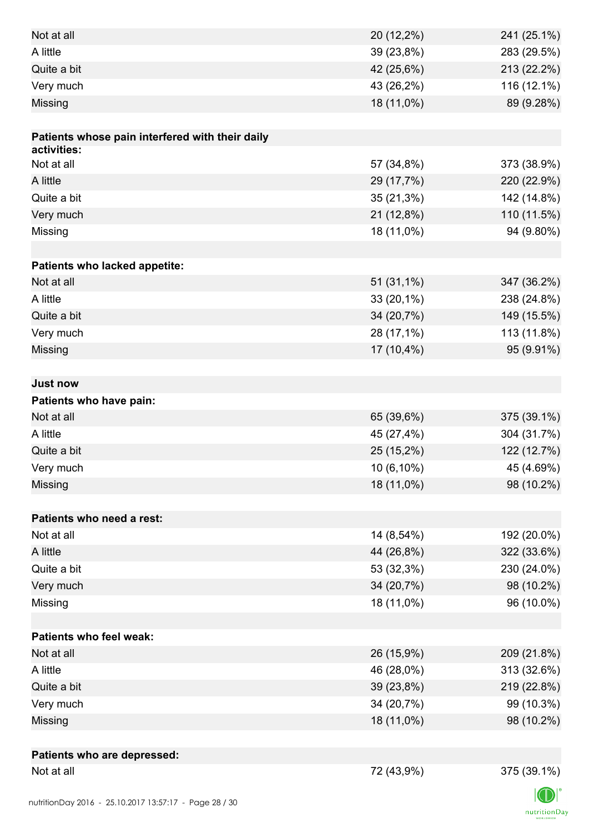| Not at all                                      | 20 (12,2%)   | 241 (25.1%) |
|-------------------------------------------------|--------------|-------------|
| A little                                        | 39 (23,8%)   | 283 (29.5%) |
| Quite a bit                                     | 42 (25,6%)   | 213 (22.2%) |
| Very much                                       | 43 (26,2%)   | 116 (12.1%) |
| Missing                                         | 18 (11,0%)   | 89 (9.28%)  |
|                                                 |              |             |
| Patients whose pain interfered with their daily |              |             |
| activities:                                     |              |             |
| Not at all                                      | 57 (34,8%)   | 373 (38.9%) |
| A little                                        | 29 (17,7%)   | 220 (22.9%) |
| Quite a bit                                     | $35(21,3\%)$ | 142 (14.8%) |
| Very much                                       | 21 (12,8%)   | 110 (11.5%) |
| Missing                                         | 18 (11,0%)   | 94 (9.80%)  |
|                                                 |              |             |
| Patients who lacked appetite:                   |              |             |
| Not at all                                      | 51 (31,1%)   | 347 (36.2%) |
| A little                                        | $33(20,1\%)$ | 238 (24.8%) |
| Quite a bit                                     | 34 (20,7%)   | 149 (15.5%) |
| Very much                                       | 28 (17,1%)   | 113 (11.8%) |
| Missing                                         | 17 (10,4%)   | 95 (9.91%)  |
|                                                 |              |             |
| <b>Just now</b>                                 |              |             |
| Patients who have pain:                         |              |             |
| Not at all                                      | 65 (39,6%)   | 375 (39.1%) |
| A little                                        | 45 (27,4%)   | 304 (31.7%) |
| Quite a bit                                     | 25 (15,2%)   | 122 (12.7%) |
| Very much                                       | $10(6,10\%)$ | 45 (4.69%)  |
| Missing                                         | 18 (11,0%)   | 98 (10.2%)  |
|                                                 |              |             |
| Patients who need a rest:                       |              |             |
| Not at all                                      | 14 (8,54%)   | 192 (20.0%) |
| A little                                        | 44 (26,8%)   | 322 (33.6%) |
| Quite a bit                                     | 53 (32,3%)   | 230 (24.0%) |
| Very much                                       | 34 (20,7%)   | 98 (10.2%)  |
| Missing                                         | 18 (11,0%)   | 96 (10.0%)  |
|                                                 |              |             |
| <b>Patients who feel weak:</b>                  |              |             |
| Not at all                                      | 26 (15,9%)   | 209 (21.8%) |
| A little                                        | 46 (28,0%)   | 313 (32.6%) |
| Quite a bit                                     | 39 (23,8%)   | 219 (22.8%) |
| Very much                                       | 34 (20,7%)   | 99 (10.3%)  |
| Missing                                         | 18 (11,0%)   | 98 (10.2%)  |
|                                                 |              |             |
| Patients who are depressed:                     |              |             |
| Not at all                                      | 72 (43,9%)   | 375 (39.1%) |
|                                                 |              |             |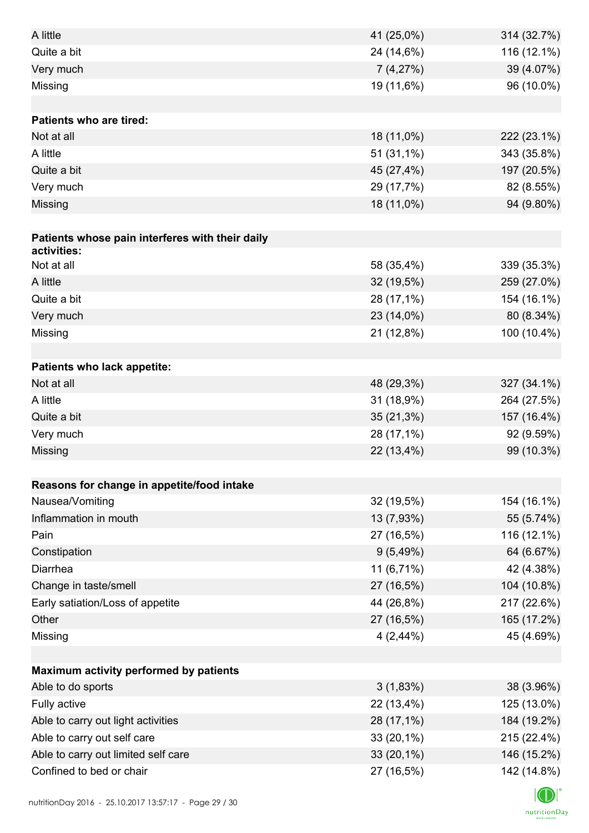| A little                                        | 41 (25,0%)   | 314 (32.7%) |
|-------------------------------------------------|--------------|-------------|
| Quite a bit                                     | 24 (14,6%)   | 116 (12.1%) |
| Very much                                       | 7(4,27%)     | 39 (4.07%)  |
| Missing                                         | 19 (11,6%)   | 96 (10.0%)  |
|                                                 |              |             |
| <b>Patients who are tired:</b>                  |              |             |
| Not at all                                      | 18 (11,0%)   | 222 (23.1%) |
| A little                                        | 51 (31,1%)   | 343 (35.8%) |
| Quite a bit                                     | 45 (27,4%)   | 197 (20.5%) |
| Very much                                       | 29 (17,7%)   | 82 (8.55%)  |
| Missing                                         | 18 (11,0%)   | 94 (9.80%)  |
|                                                 |              |             |
| Patients whose pain interferes with their daily |              |             |
| activities:                                     |              |             |
| Not at all                                      | 58 (35,4%)   | 339 (35.3%) |
| A little                                        | 32 (19,5%)   | 259 (27.0%) |
| Quite a bit                                     | 28 (17,1%)   | 154 (16.1%) |
| Very much                                       | 23 (14,0%)   | 80 (8.34%)  |
| Missing                                         | 21 (12,8%)   | 100 (10.4%) |
|                                                 |              |             |
| Patients who lack appetite:                     |              |             |
| Not at all                                      | 48 (29,3%)   | 327 (34.1%) |
| A little                                        | 31 (18,9%)   | 264 (27.5%) |
| Quite a bit                                     | $35(21,3\%)$ | 157 (16.4%) |
| Very much                                       | 28 (17,1%)   | 92 (9.59%)  |
| Missing                                         | 22 (13,4%)   | 99 (10.3%)  |
|                                                 |              |             |
| Reasons for change in appetite/food intake      |              |             |
| Nausea/Vomiting                                 | 32 (19,5%)   | 154 (16.1%) |
| Inflammation in mouth                           | 13 (7,93%)   | 55 (5.74%)  |
| Pain                                            | 27 (16,5%)   | 116 (12.1%) |
| Constipation                                    | 9(5,49%)     | 64 (6.67%)  |
| Diarrhea                                        | 11 (6,71%)   | 42 (4.38%)  |
| Change in taste/smell                           | 27 (16,5%)   | 104 (10.8%) |
| Early satiation/Loss of appetite                | 44 (26,8%)   | 217 (22.6%) |
| Other                                           | 27 (16,5%)   | 165 (17.2%) |
| Missing                                         | 4(2,44%)     | 45 (4.69%)  |
|                                                 |              |             |
| Maximum activity performed by patients          |              |             |
| Able to do sports                               | 3(1,83%)     | 38 (3.96%)  |
| Fully active                                    | 22 (13,4%)   | 125 (13.0%) |
| Able to carry out light activities              | 28 (17,1%)   | 184 (19.2%) |
| Able to carry out self care                     | 33 (20,1%)   | 215 (22.4%) |
| Able to carry out limited self care             | 33 (20,1%)   | 146 (15.2%) |
| Confined to bed or chair                        | 27 (16,5%)   | 142 (14.8%) |